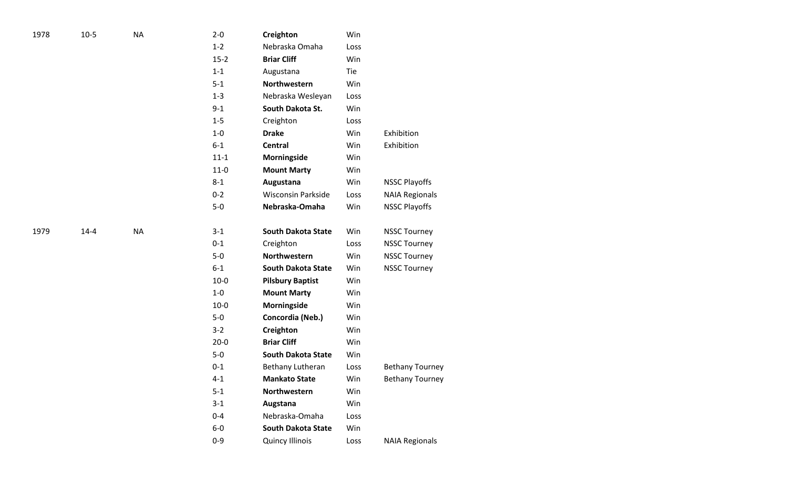| 1978 | $10-5$   | <b>NA</b> | $2 - 0$  | Creighton                 | Win  |                        |
|------|----------|-----------|----------|---------------------------|------|------------------------|
|      |          |           | $1 - 2$  | Nebraska Omaha            | Loss |                        |
|      |          |           | $15 - 2$ | <b>Briar Cliff</b>        | Win  |                        |
|      |          |           | $1 - 1$  | Augustana                 | Tie  |                        |
|      |          |           | $5 - 1$  | Northwestern              | Win  |                        |
|      |          |           | $1 - 3$  | Nebraska Wesleyan         | Loss |                        |
|      |          |           | $9 - 1$  | South Dakota St.          | Win  |                        |
|      |          |           | $1 - 5$  | Creighton                 | Loss |                        |
|      |          |           | $1-0$    | <b>Drake</b>              | Win  | Exhibition             |
|      |          |           | $6-1$    | <b>Central</b>            | Win  | Exhibition             |
|      |          |           | $11 - 1$ | Morningside               | Win  |                        |
|      |          |           | $11 - 0$ | <b>Mount Marty</b>        | Win  |                        |
|      |          |           | $8 - 1$  | Augustana                 | Win  | <b>NSSC Playoffs</b>   |
|      |          |           | $0 - 2$  | <b>Wisconsin Parkside</b> | Loss | <b>NAIA Regionals</b>  |
|      |          |           | $5-0$    | Nebraska-Omaha            | Win  | <b>NSSC Playoffs</b>   |
| 1979 | $14 - 4$ | <b>NA</b> | $3 - 1$  | <b>South Dakota State</b> | Win  | <b>NSSC Tourney</b>    |
|      |          |           | $0 - 1$  | Creighton                 | Loss | <b>NSSC Tourney</b>    |
|      |          |           | $5-0$    | Northwestern              | Win  | <b>NSSC Tourney</b>    |
|      |          |           | $6-1$    | <b>South Dakota State</b> | Win  | <b>NSSC Tourney</b>    |
|      |          |           | $10 - 0$ | <b>Pilsbury Baptist</b>   | Win  |                        |
|      |          |           | $1-0$    | <b>Mount Marty</b>        | Win  |                        |
|      |          |           | $10-0$   | Morningside               | Win  |                        |
|      |          |           | $5-0$    | Concordia (Neb.)          | Win  |                        |
|      |          |           | $3 - 2$  | Creighton                 | Win  |                        |
|      |          |           | $20 - 0$ | <b>Briar Cliff</b>        | Win  |                        |
|      |          |           | $5-0$    | <b>South Dakota State</b> | Win  |                        |
|      |          |           | $0 - 1$  | Bethany Lutheran          | Loss | <b>Bethany Tourney</b> |
|      |          |           | $4 - 1$  | <b>Mankato State</b>      | Win  | <b>Bethany Tourney</b> |
|      |          |           | $5 - 1$  | Northwestern              | Win  |                        |
|      |          |           | $3-1$    | Augstana                  | Win  |                        |
|      |          |           | $0 - 4$  | Nebraska-Omaha            | Loss |                        |
|      |          |           | $6-0$    | <b>South Dakota State</b> | Win  |                        |
|      |          |           | $0 - 9$  | <b>Quincy Illinois</b>    | Loss | <b>NAIA Regionals</b>  |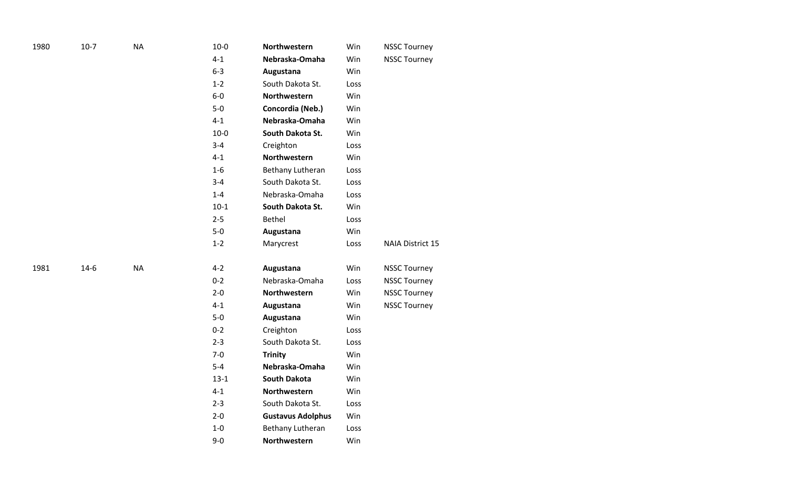| 1980 | $10-7$ | $\sf NA$  | $10 - 0$ | Northwestern             | Win  | <b>NSSC Tourney</b> |
|------|--------|-----------|----------|--------------------------|------|---------------------|
|      |        |           | $4 - 1$  | Nebraska-Omaha           | Win  | <b>NSSC Tourney</b> |
|      |        |           | $6-3$    | Augustana                | Win  |                     |
|      |        |           | $1 - 2$  | South Dakota St.         | Loss |                     |
|      |        |           | $6-0$    | Northwestern             | Win  |                     |
|      |        |           | $5-0$    | Concordia (Neb.)         | Win  |                     |
|      |        |           | $4 - 1$  | Nebraska-Omaha           | Win  |                     |
|      |        |           | $10-0$   | South Dakota St.         | Win  |                     |
|      |        |           | $3 - 4$  | Creighton                | Loss |                     |
|      |        |           | $4 - 1$  | Northwestern             | Win  |                     |
|      |        |           | $1-6$    | Bethany Lutheran         | Loss |                     |
|      |        |           | $3 - 4$  | South Dakota St.         | Loss |                     |
|      |        |           | $1 - 4$  | Nebraska-Omaha           | Loss |                     |
|      |        |           | $10-1$   | South Dakota St.         | Win  |                     |
|      |        |           | $2 - 5$  | <b>Bethel</b>            | Loss |                     |
|      |        |           | $5-0$    | Augustana                | Win  |                     |
|      |        |           | $1 - 2$  | Marycrest                | Loss | NAIA District 15    |
| 1981 | $14-6$ | <b>NA</b> | $4 - 2$  | Augustana                | Win  | <b>NSSC Tourney</b> |
|      |        |           | $0 - 2$  | Nebraska-Omaha           | Loss | <b>NSSC Tourney</b> |
|      |        |           | $2 - 0$  | Northwestern             | Win  | <b>NSSC Tourney</b> |
|      |        |           | $4 - 1$  | Augustana                | Win  | <b>NSSC Tourney</b> |
|      |        |           | $5-0$    | Augustana                | Win  |                     |
|      |        |           | $0 - 2$  | Creighton                | Loss |                     |
|      |        |           | $2 - 3$  | South Dakota St.         | Loss |                     |
|      |        |           | $7-0$    | <b>Trinity</b>           | Win  |                     |
|      |        |           | $5 - 4$  | Nebraska-Omaha           | Win  |                     |
|      |        |           | $13 - 1$ | <b>South Dakota</b>      | Win  |                     |
|      |        |           | $4 - 1$  | Northwestern             | Win  |                     |
|      |        |           | $2 - 3$  | South Dakota St.         | Loss |                     |
|      |        |           | $2 - 0$  | <b>Gustavus Adolphus</b> | Win  |                     |
|      |        |           | $1-0$    | Bethany Lutheran         | Loss |                     |
|      |        |           | $9-0$    | Northwestern             | Win  |                     |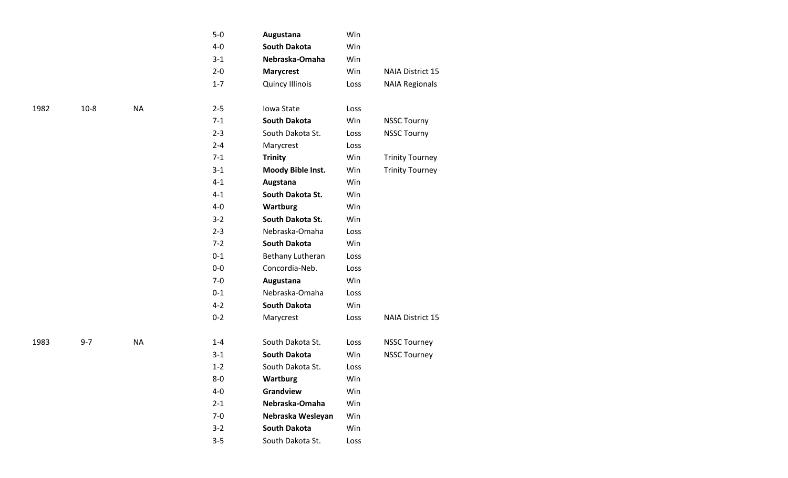| $5 - 0$ | Augustana              | Win        |                         |
|---------|------------------------|------------|-------------------------|
| $4 - 0$ | <b>South Dakota</b>    | Win        |                         |
| $3-1$   | Nebraska-Omaha         | Win        |                         |
| $2 - 0$ | <b>Marycrest</b>       | <b>Win</b> | <b>NAIA District 15</b> |
| $1 - 7$ | <b>Quincy Illinois</b> | Loss       | <b>NAIA Regionals</b>   |
| $2 - 5$ | Iowa State             | Loss       |                         |
| $7-1$   | <b>South Dakota</b>    | Win        | <b>NSSC Tourny</b>      |
| $2 - 3$ | South Dakota St.       | Loss       | <b>NSSC Tourny</b>      |
| $2 - 4$ | Marycrest              | Loss       |                         |
| $7-1$   | <b>Trinity</b>         | Win        | <b>Trinity Tourney</b>  |
| $3-1$   | Moody Bible Inst.      | Win        | <b>Trinity Tourney</b>  |
| $4 - 1$ | Augstana               | Win        |                         |
| $4 - 1$ | South Dakota St.       | Win        |                         |
| $4 - 0$ | <b>Wartburg</b>        | Win        |                         |
| $3 - 2$ | South Dakota St.       | Win        |                         |
| $2 - 3$ | Nebraska-Omaha         | Loss       |                         |
| $7 - 2$ | South Dakota           | <b>Win</b> |                         |
| $0 - 1$ | Bethany Lutheran       | Loss       |                         |
| $0 - 0$ | Concordia-Neb.         | Loss       |                         |
| $7-0$   | Augustana              | Win        |                         |
| $0 - 1$ | Nebraska-Omaha         | Loss       |                         |
| $4 - 2$ | <b>South Dakota</b>    | Win        |                         |
| $0 - 2$ | Marycrest              | Loss       | <b>NAIA District 15</b> |
| $1 - 4$ | South Dakota St.       | Loss       | <b>NSSC Tourney</b>     |
| $3-1$   | <b>South Dakota</b>    | Win        | <b>NSSC Tourney</b>     |
| $1 - 2$ | South Dakota St.       | Loss       |                         |
| $8-0$   | Wartburg               | Win        |                         |
| $4 - 0$ | Grandview              | Win        |                         |
| $2 - 1$ | Nebraska-Omaha         | Win        |                         |
| $7-0$   | Nebraska Wesleyan      | Win        |                         |
| $3 - 2$ | <b>South Dakota</b>    | Win        |                         |
| $3 - 5$ | South Dakota St.       | Loss       |                         |

 $10 - 8$ 

NA

NA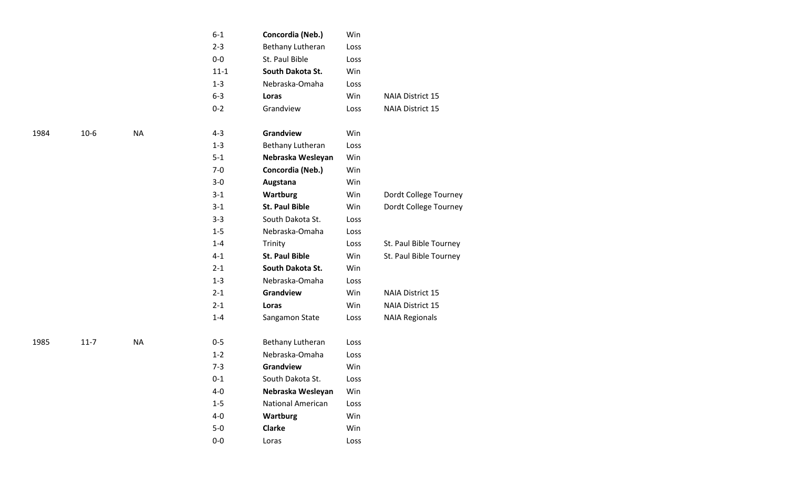|      |          |           | $6 - 1$  | Concordia (Neb.)      | Win  |                        |
|------|----------|-----------|----------|-----------------------|------|------------------------|
|      |          |           | $2 - 3$  | Bethany Lutheran      | Loss |                        |
|      |          |           | $0-0$    | St. Paul Bible        | Loss |                        |
|      |          |           | $11 - 1$ | South Dakota St.      | Win  |                        |
|      |          |           | $1 - 3$  | Nebraska-Omaha        | Loss |                        |
|      |          |           | $6 - 3$  | Loras                 | Win  | NAIA District 15       |
|      |          |           | $0 - 2$  | Grandview             | Loss | NAIA District 15       |
|      |          |           |          |                       |      |                        |
| 1984 | $10-6$   | <b>NA</b> | $4 - 3$  | Grandview             | Win  |                        |
|      |          |           | $1 - 3$  | Bethany Lutheran      | Loss |                        |
|      |          |           | $5-1$    | Nebraska Wesleyan     | Win  |                        |
|      |          |           | $7 - 0$  | Concordia (Neb.)      | Win  |                        |
|      |          |           | $3-0$    | Augstana              | Win  |                        |
|      |          |           | $3 - 1$  | Wartburg              | Win  | Dordt College Tourney  |
|      |          |           | $3-1$    | <b>St. Paul Bible</b> | Win  | Dordt College Tourney  |
|      |          |           | $3 - 3$  | South Dakota St.      | Loss |                        |
|      |          |           | $1-5$    | Nebraska-Omaha        | Loss |                        |
|      |          |           | $1 - 4$  | Trinity               | Loss | St. Paul Bible Tourney |
|      |          |           | $4 - 1$  | <b>St. Paul Bible</b> | Win  | St. Paul Bible Tourney |
|      |          |           | $2 - 1$  | South Dakota St.      | Win  |                        |
|      |          |           | $1 - 3$  | Nebraska-Omaha        | Loss |                        |
|      |          |           | $2 - 1$  | Grandview             | Win  | NAIA District 15       |
|      |          |           | $2 - 1$  | Loras                 | Win  | NAIA District 15       |
|      |          |           | $1 - 4$  | Sangamon State        | Loss | <b>NAIA Regionals</b>  |
| 1985 | $11 - 7$ | <b>NA</b> | $0 - 5$  | Bethany Lutheran      | Loss |                        |
|      |          |           | $1 - 2$  | Nebraska-Omaha        | Loss |                        |
|      |          |           | $7 - 3$  | Grandview             | Win  |                        |
|      |          |           | $0 - 1$  | South Dakota St.      | Loss |                        |
|      |          |           | $4-0$    | Nebraska Wesleyan     | Win  |                        |
|      |          |           | $1 - 5$  | National American     | Loss |                        |
|      |          |           | $4-0$    | Wartburg              | Win  |                        |
|      |          |           | $5-0$    | Clarke                | Win  |                        |
|      |          |           | $0-0$    | Loras                 | Loss |                        |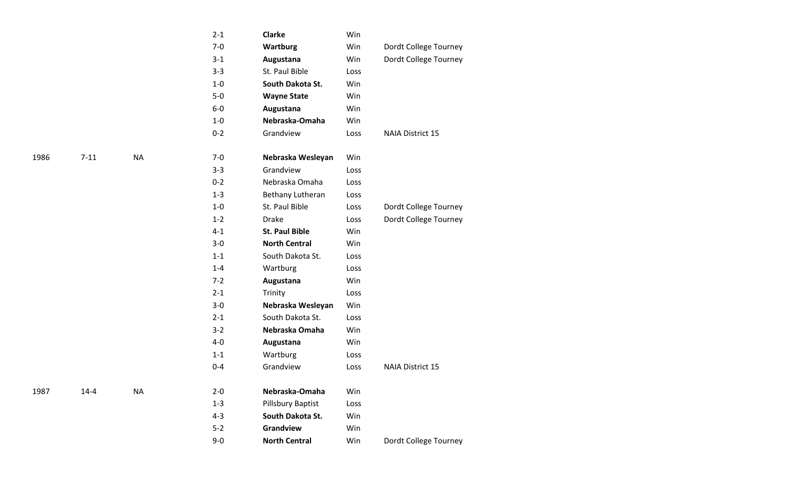|      |          |           | $2 - 1$ | <b>Clarke</b>         | Win  |                         |
|------|----------|-----------|---------|-----------------------|------|-------------------------|
|      |          |           | $7-0$   | <b>Wartburg</b>       | Win  | Dordt College Tourney   |
|      |          |           | $3 - 1$ | Augustana             | Win  | Dordt College Tourney   |
|      |          |           | $3 - 3$ | St. Paul Bible        | Loss |                         |
|      |          |           | $1-0$   | South Dakota St.      | Win  |                         |
|      |          |           | $5-0$   | <b>Wayne State</b>    | Win  |                         |
|      |          |           | $6-0$   | Augustana             | Win  |                         |
|      |          |           | $1-0$   | Nebraska-Omaha        | Win  |                         |
|      |          |           | $0 - 2$ | Grandview             | Loss | NAIA District 15        |
| 1986 | $7 - 11$ | <b>NA</b> | $7 - 0$ | Nebraska Wesleyan     | Win  |                         |
|      |          |           | $3 - 3$ | Grandview             | Loss |                         |
|      |          |           | $0 - 2$ | Nebraska Omaha        | Loss |                         |
|      |          |           | $1 - 3$ | Bethany Lutheran      | Loss |                         |
|      |          |           | $1-0$   | St. Paul Bible        | Loss | Dordt College Tourney   |
|      |          |           | $1 - 2$ | <b>Drake</b>          | Loss | Dordt College Tourney   |
|      |          |           | $4 - 1$ | <b>St. Paul Bible</b> | Win  |                         |
|      |          |           | $3-0$   | <b>North Central</b>  | Win  |                         |
|      |          |           | $1 - 1$ | South Dakota St.      | Loss |                         |
|      |          |           | $1 - 4$ | Wartburg              | Loss |                         |
|      |          |           | $7 - 2$ | Augustana             | Win  |                         |
|      |          |           | $2 - 1$ | Trinity               | Loss |                         |
|      |          |           | $3-0$   | Nebraska Wesleyan     | Win  |                         |
|      |          |           | $2 - 1$ | South Dakota St.      | Loss |                         |
|      |          |           | $3 - 2$ | Nebraska Omaha        | Win  |                         |
|      |          |           | $4 - 0$ | Augustana             | Win  |                         |
|      |          |           | $1 - 1$ | Wartburg              | Loss |                         |
|      |          |           | $0 - 4$ | Grandview             | Loss | <b>NAIA District 15</b> |
| 1987 | $14 - 4$ | <b>NA</b> | $2 - 0$ | Nebraska-Omaha        | Win  |                         |
|      |          |           | $1 - 3$ | Pillsbury Baptist     | Loss |                         |
|      |          |           | $4 - 3$ | South Dakota St.      | Win  |                         |
|      |          |           | $5 - 2$ | Grandview             | Win  |                         |
|      |          |           | $9-0$   | <b>North Central</b>  | Win  | Dordt College Tourney   |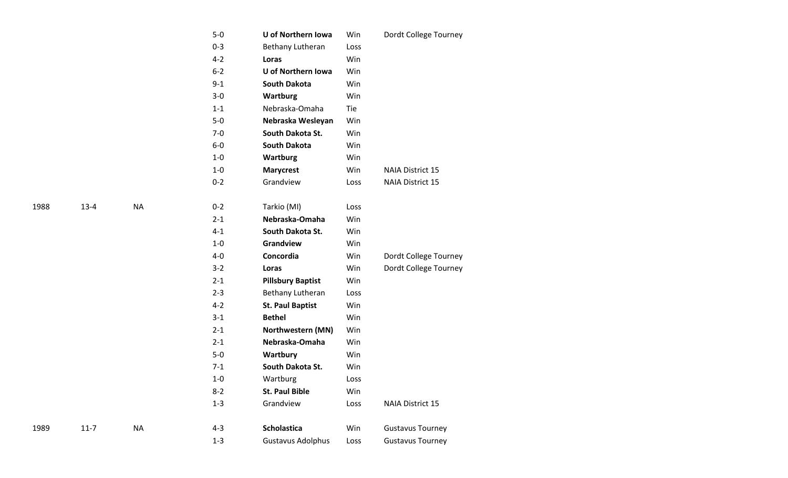|      |          |           | $5-0$   | U of Northern Iowa       | Win  | Dordt College Tourney   |
|------|----------|-----------|---------|--------------------------|------|-------------------------|
|      |          |           | $0 - 3$ | Bethany Lutheran         | Loss |                         |
|      |          |           | $4 - 2$ | Loras                    | Win  |                         |
|      |          |           | $6 - 2$ | U of Northern Iowa       | Win  |                         |
|      |          |           | $9 - 1$ | <b>South Dakota</b>      | Win  |                         |
|      |          |           | $3-0$   | <b>Wartburg</b>          | Win  |                         |
|      |          |           | $1 - 1$ | Nebraska-Omaha           | Tie  |                         |
|      |          |           | $5-0$   | Nebraska Wesleyan        | Win  |                         |
|      |          |           | $7-0$   | South Dakota St.         | Win  |                         |
|      |          |           | $6-0$   | <b>South Dakota</b>      | Win  |                         |
|      |          |           | $1-0$   | <b>Wartburg</b>          | Win  |                         |
|      |          |           | $1-0$   | <b>Marycrest</b>         | Win  | <b>NAIA District 15</b> |
|      |          |           | $0 - 2$ | Grandview                | Loss | <b>NAIA District 15</b> |
| 1988 | $13 - 4$ | <b>NA</b> | $0 - 2$ | Tarkio (MI)              | Loss |                         |
|      |          |           | $2 - 1$ | Nebraska-Omaha           | Win  |                         |
|      |          |           | $4 - 1$ | South Dakota St.         | Win  |                         |
|      |          |           | $1-0$   | Grandview                | Win  |                         |
|      |          |           | $4-0$   | Concordia                | Win  | Dordt College Tourney   |
|      |          |           | $3 - 2$ | Loras                    | Win  | Dordt College Tourney   |
|      |          |           | $2 - 1$ | <b>Pillsbury Baptist</b> | Win  |                         |
|      |          |           | $2 - 3$ | Bethany Lutheran         | Loss |                         |
|      |          |           | $4 - 2$ | <b>St. Paul Baptist</b>  | Win  |                         |
|      |          |           | $3 - 1$ | <b>Bethel</b>            | Win  |                         |
|      |          |           | $2 - 1$ | Northwestern (MN)        | Win  |                         |
|      |          |           | $2 - 1$ | Nebraska-Omaha           | Win  |                         |
|      |          |           | $5-0$   | Wartbury                 | Win  |                         |
|      |          |           | $7 - 1$ | South Dakota St.         | Win  |                         |
|      |          |           | $1-0$   | Wartburg                 | Loss |                         |
|      |          |           | $8 - 2$ | <b>St. Paul Bible</b>    | Win  |                         |
|      |          |           | $1-3$   | Grandview                | Loss | NAIA District 15        |
| 1989 | $11 - 7$ | <b>NA</b> | $4 - 3$ | Scholastica              | Win  | <b>Gustavus Tourney</b> |
|      |          |           | $1 - 3$ | <b>Gustavus Adolphus</b> | Loss | <b>Gustavus Tourney</b> |
|      |          |           |         |                          |      |                         |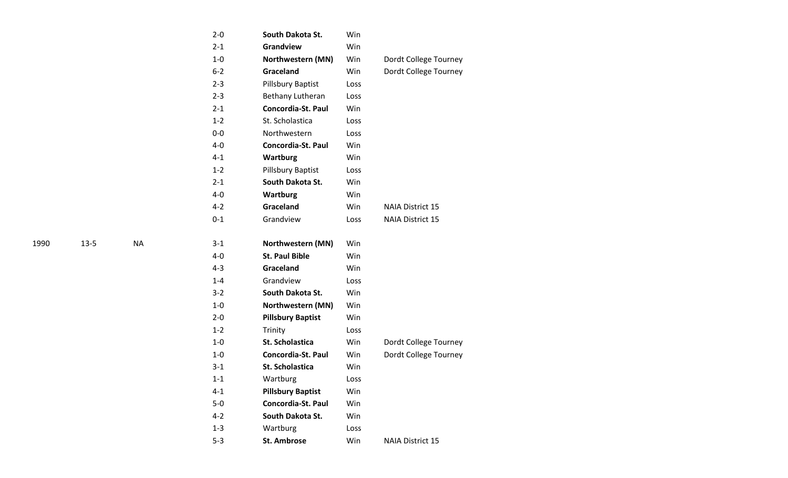| $2 - 0$ | South Dakota St.          | Win  |                         |
|---------|---------------------------|------|-------------------------|
| $2 - 1$ | <b>Grandview</b>          | Win  |                         |
| $1 - 0$ | Northwestern (MN)         | Win  | Dordt College Tourney   |
| $6 - 2$ | <b>Graceland</b>          | Win  | Dordt College Tourney   |
| $2 - 3$ | Pillsbury Baptist         | Loss |                         |
| $2 - 3$ | Bethany Lutheran          | Loss |                         |
| $2 - 1$ | <b>Concordia-St. Paul</b> | Win  |                         |
| $1 - 2$ | St. Scholastica           | Loss |                         |
| $0 - 0$ | Northwestern              | Loss |                         |
| $4 - 0$ | <b>Concordia-St. Paul</b> | Win  |                         |
| $4 - 1$ | Wartburg                  | Win  |                         |
| $1 - 2$ | Pillsbury Baptist         | Loss |                         |
| $2 - 1$ | South Dakota St.          | Win  |                         |
| 4-0     | <b>Wartburg</b>           | Win  |                         |
| $4 - 2$ | Graceland                 | Win  | <b>NAIA District 15</b> |
| $0 - 1$ | Grandview                 | Loss | <b>NAIA District 15</b> |
|         |                           |      |                         |
| $3 - 1$ | Northwestern (MN)         | Win  |                         |
| $4 - 0$ | <b>St. Paul Bible</b>     | Win  |                         |
| $4 - 3$ | Graceland                 | Win  |                         |
| $1 - 4$ | Grandview                 | Loss |                         |
| $3 - 2$ | South Dakota St.          | Win  |                         |
| $1 - 0$ | Northwestern (MN)         | Win  |                         |
| $2 - 0$ | <b>Pillsbury Baptist</b>  | Win  |                         |
| $1 - 2$ | Trinity                   | Loss |                         |
| $1 - 0$ | <b>St. Scholastica</b>    | Win  | Dordt College Tourney   |
| $1 - 0$ | Concordia-St. Paul        | Win  | Dordt College Tourney   |
| $3 - 1$ | <b>St. Scholastica</b>    | Win  |                         |
| $1 - 1$ | Wartburg                  | Loss |                         |
| $4 - 1$ | <b>Pillsbury Baptist</b>  | Win  |                         |
| $5-0$   | Concordia-St. Paul        | Win  |                         |
| $4 - 2$ | South Dakota St.          | Win  |                         |
| $1 - 3$ | Wartburg                  | Loss |                         |
| $5-3$   | <b>St. Ambrose</b>        | Win  | <b>NAIA District 15</b> |

 $13-5$ 

NA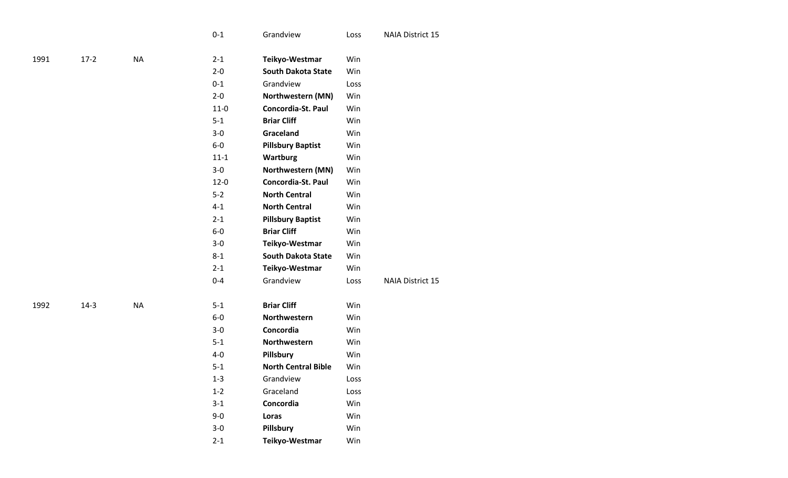|      |        |          | $0 - 1$  | Grandview                  | Loss | <b>NAIA District 15</b> |
|------|--------|----------|----------|----------------------------|------|-------------------------|
|      |        |          |          |                            |      |                         |
| 1991 | $17-2$ | $\sf NA$ | $2 - 1$  | Teikyo-Westmar             | Win  |                         |
|      |        |          | $2 - 0$  | <b>South Dakota State</b>  | Win  |                         |
|      |        |          | $0 - 1$  | Grandview                  | Loss |                         |
|      |        |          | $2 - 0$  | Northwestern (MN)          | Win  |                         |
|      |        |          | $11-0$   | Concordia-St. Paul         | Win  |                         |
|      |        |          | $5 - 1$  | <b>Briar Cliff</b>         | Win  |                         |
|      |        |          | $3-0$    | Graceland                  | Win  |                         |
|      |        |          | $6-0$    | <b>Pillsbury Baptist</b>   | Win  |                         |
|      |        |          | $11 - 1$ | <b>Wartburg</b>            | Win  |                         |
|      |        |          | $3-0$    | Northwestern (MN)          | Win  |                         |
|      |        |          | $12 - 0$ | Concordia-St. Paul         | Win  |                         |
|      |        |          | $5-2$    | <b>North Central</b>       | Win  |                         |
|      |        |          | $4 - 1$  | <b>North Central</b>       | Win  |                         |
|      |        |          | $2 - 1$  | <b>Pillsbury Baptist</b>   | Win  |                         |
|      |        |          | $6-0$    | <b>Briar Cliff</b>         | Win  |                         |
|      |        |          | $3-0$    | Teikyo-Westmar             | Win  |                         |
|      |        |          | $8 - 1$  | <b>South Dakota State</b>  | Win  |                         |
|      |        |          | $2 - 1$  | Teikyo-Westmar             | Win  |                         |
|      |        |          | $0 - 4$  | Grandview                  | Loss | <b>NAIA District 15</b> |
|      |        |          |          |                            |      |                         |
| 1992 | $14-3$ | $\sf NA$ | $5-1$    | <b>Briar Cliff</b>         | Win  |                         |
|      |        |          | $6-0$    | Northwestern               | Win  |                         |
|      |        |          | $3-0$    | Concordia                  | Win  |                         |
|      |        |          | $5 - 1$  | Northwestern               | Win  |                         |
|      |        |          | $4-0$    | Pillsbury                  | Win  |                         |
|      |        |          | $5 - 1$  | <b>North Central Bible</b> | Win  |                         |
|      |        |          | $1 - 3$  | Grandview                  | Loss |                         |
|      |        |          | $1 - 2$  | Graceland                  | Loss |                         |
|      |        |          | $3-1$    | Concordia                  | Win  |                         |
|      |        |          | $9 - 0$  | Loras                      | Win  |                         |
|      |        |          | $3-0$    | Pillsbury                  | Win  |                         |
|      |        |          |          |                            |      |                         |

**Teikyo -Westmar** Win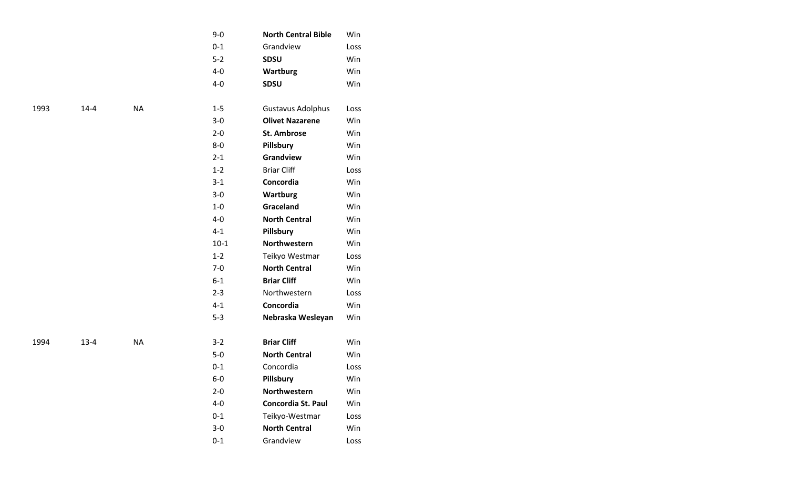| $9 - 0$ | <b>North Central Bible</b> | Win  |
|---------|----------------------------|------|
| $0 - 1$ | Grandview                  | Loss |
| $5 - 2$ | <b>SDSU</b>                | Win  |
| $4 - 0$ | <b>Wartburg</b>            | Win  |
| $4 - 0$ | <b>SDSU</b>                | Win  |
|         |                            |      |
| $1 - 5$ | Gustavus Adolphus          | Loss |
| $3 - 0$ | <b>Olivet Nazarene</b>     | Win  |
| $2 - 0$ | <b>St. Ambrose</b>         | Win  |
| 8-0     | Pillsbury                  | Win  |
| $2 - 1$ | Grandview                  | Win  |
| $1 - 2$ | <b>Briar Cliff</b>         | Loss |
| $3 - 1$ | Concordia                  | Win  |
| $3 - 0$ | <b>Wartburg</b>            | Win  |
| $1 - 0$ | <b>Graceland</b>           | Win  |
| 4-0     | <b>North Central</b>       | Win  |
| $4 - 1$ | Pillsbury                  | Win  |
| $10-1$  | <b>Northwestern</b>        | Win  |
| $1 - 2$ | Teikyo Westmar             | Loss |
| $7-0$   | <b>North Central</b>       | Win  |
| $6 - 1$ | <b>Briar Cliff</b>         | Win  |
| $2 - 3$ | Northwestern               | Loss |
| $4 - 1$ | Concordia                  | Win  |
| $5 - 3$ | Nebraska Wesleyan          | Win  |
|         |                            |      |
| $3 - 2$ | <b>Briar Cliff</b>         | Win  |
| $5 - 0$ | <b>North Central</b>       | Win  |
| $0 - 1$ | Concordia                  | Loss |
| $6-0$   | Pillsbury                  | Win  |
| $2 - 0$ | Northwestern               | Win  |
| 4-0     | <b>Concordia St. Paul</b>  | Win  |
| $0 - 1$ | Teikyo-Westmar             | Loss |
| $3 - 0$ | <b>North Central</b>       | Win  |
| $0 - 1$ | Grandview                  | Loss |
|         |                            |      |

 $14 - 4$ 

 $13-4$ 

NA

NA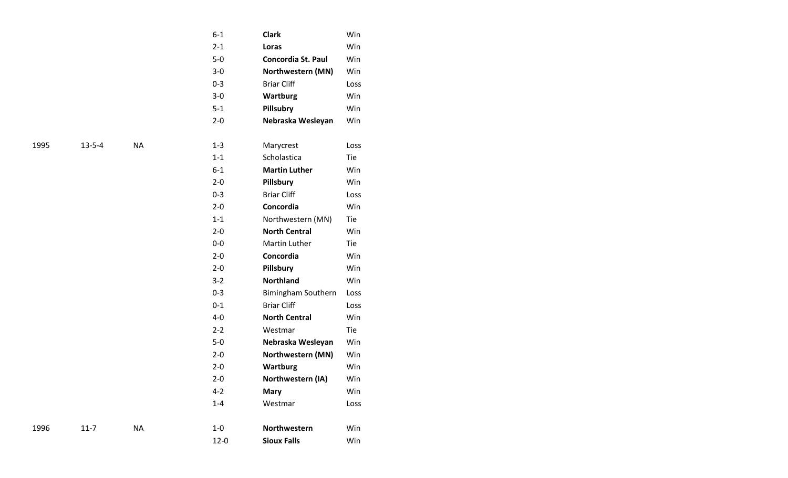|      |              |           | $6 - 1$  | <b>Clark</b>              | Win  |
|------|--------------|-----------|----------|---------------------------|------|
|      |              |           | $2 - 1$  | Loras                     | Win  |
|      |              |           | $5-0$    | <b>Concordia St. Paul</b> | Win  |
|      |              |           | $3-0$    | Northwestern (MN)         | Win  |
|      |              |           | $0 - 3$  | <b>Briar Cliff</b>        | Loss |
|      |              |           | $3-0$    | <b>Wartburg</b>           | Win  |
|      |              |           | $5 - 1$  | <b>Pillsubry</b>          | Win  |
|      |              |           | $2 - 0$  | Nebraska Wesleyan         | Win  |
|      |              |           |          |                           |      |
| 1995 | $13 - 5 - 4$ | <b>NA</b> | $1 - 3$  | Marycrest                 | Loss |
|      |              |           | $1 - 1$  | Scholastica               | Tie  |
|      |              |           | $6 - 1$  | <b>Martin Luther</b>      | Win  |
|      |              |           | $2 - 0$  | Pillsbury                 | Win  |
|      |              |           | $0 - 3$  | <b>Briar Cliff</b>        | Loss |
|      |              |           | $2 - 0$  | Concordia                 | Win  |
|      |              |           | $1 - 1$  | Northwestern (MN)         | Tie  |
|      |              |           | $2 - 0$  | <b>North Central</b>      | Win  |
|      |              |           | $0-0$    | <b>Martin Luther</b>      | Tie  |
|      |              |           | $2 - 0$  | Concordia                 | Win  |
|      |              |           | $2 - 0$  | Pillsbury                 | Win  |
|      |              |           | $3-2$    | <b>Northland</b>          | Win  |
|      |              |           | $0 - 3$  | Bimingham Southern        | Loss |
|      |              |           | $0 - 1$  | <b>Briar Cliff</b>        | Loss |
|      |              |           | $4-0$    | <b>North Central</b>      | Win  |
|      |              |           | $2 - 2$  | Westmar                   | Tie  |
|      |              |           | $5-0$    | Nebraska Wesleyan         | Win  |
|      |              |           | $2 - 0$  | Northwestern (MN)         | Win  |
|      |              |           | $2 - 0$  | <b>Wartburg</b>           | Win  |
|      |              |           | $2 - 0$  | Northwestern (IA)         | Win  |
|      |              |           | $4 - 2$  | <b>Mary</b>               | Win  |
|      |              |           | $1 - 4$  | Westmar                   | Loss |
|      |              |           |          |                           |      |
| 1996 | $11 - 7$     | <b>NA</b> | $1-0$    | Northwestern              | Win  |
|      |              |           | $12 - 0$ | <b>Sioux Falls</b>        | Win  |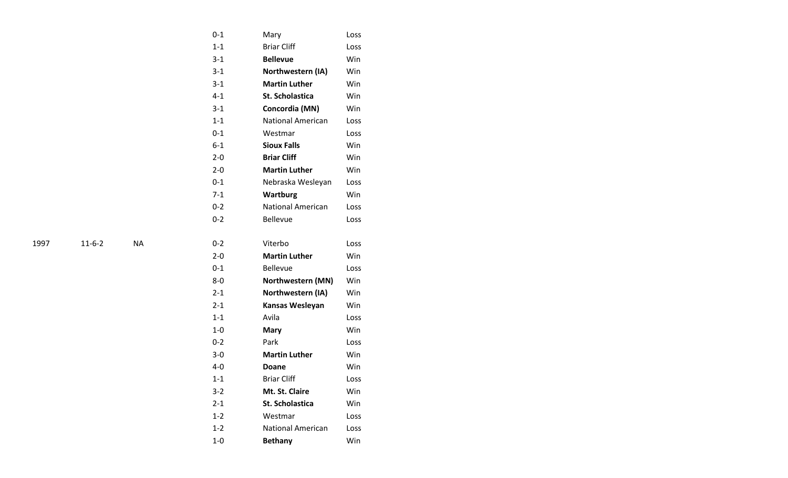| $0 - 1$ | Mary                     | Loss |
|---------|--------------------------|------|
| $1 - 1$ | <b>Briar Cliff</b>       | Loss |
| $3 - 1$ | <b>Bellevue</b>          | Win  |
| $3 - 1$ | Northwestern (IA)        | Win  |
| $3 - 1$ | <b>Martin Luther</b>     | Win  |
| $4 - 1$ | <b>St. Scholastica</b>   | Win  |
| $3 - 1$ | Concordia (MN)           | Win  |
| $1 - 1$ | <b>National American</b> | Loss |
| $0 - 1$ | Westmar                  | Loss |
| $6 - 1$ | <b>Sioux Falls</b>       | Win  |
| $2 - 0$ | <b>Briar Cliff</b>       | Win  |
| $2 - 0$ | <b>Martin Luther</b>     | Win  |
| $0 - 1$ | Nebraska Wesleyan        | Loss |
| $7 - 1$ | <b>Wartburg</b>          | Win  |
| $0 - 2$ | <b>National American</b> | Loss |
| $0 - 2$ | <b>Bellevue</b>          | Loss |
|         |                          |      |
| $0 - 2$ | Viterbo                  | Loss |
| $2 - 0$ | <b>Martin Luther</b>     | Win  |
| $0 - 1$ | <b>Bellevue</b>          | Loss |
| $8-0$   | Northwestern (MN)        | Win  |
| $2 - 1$ | Northwestern (IA)        | Win  |
| $2 - 1$ | Kansas Wesleyan          | Win  |
| $1 - 1$ | Avila                    | Loss |
| $1 - 0$ | <b>Mary</b>              | Win  |
| $0 - 2$ | Park                     | Loss |
| $3 - 0$ | <b>Martin Luther</b>     | Win  |
| $4 - 0$ | <b>Doane</b>             | Win  |
| $1 - 1$ | <b>Briar Cliff</b>       | Loss |
| 3-2     | Mt. St. Claire           | Win  |
| $2 - 1$ | <b>St. Scholastica</b>   | Win  |
| $1 - 2$ | Westmar                  | Loss |
| $1 - 2$ | <b>National American</b> | Loss |
|         |                          |      |

- 6 - 2 NA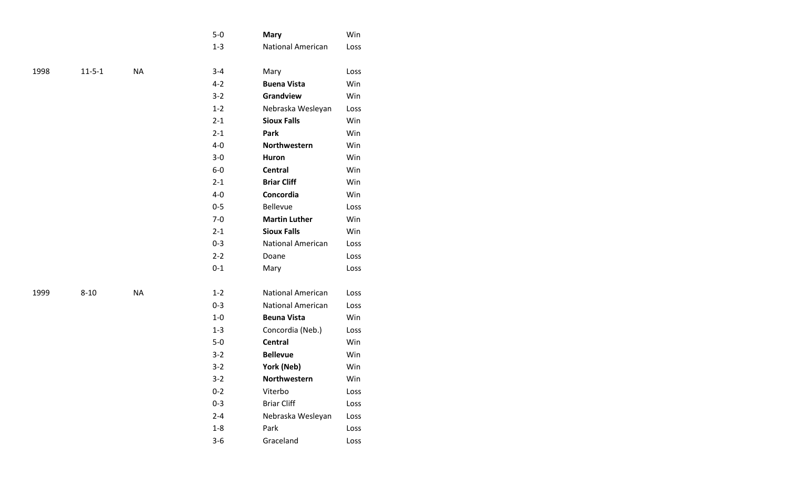|      |              |           | $5-0$   | <b>Mary</b>              | Win  |
|------|--------------|-----------|---------|--------------------------|------|
|      |              |           | $1 - 3$ | <b>National American</b> | Loss |
|      |              |           |         |                          |      |
| 1998 | $11 - 5 - 1$ | <b>NA</b> | $3 - 4$ | Mary                     | Loss |
|      |              |           | $4 - 2$ | <b>Buena Vista</b>       | Win  |
|      |              |           | $3 - 2$ | Grandview                | Win  |
|      |              |           | $1 - 2$ | Nebraska Wesleyan        | Loss |
|      |              |           | $2 - 1$ | <b>Sioux Falls</b>       | Win  |
|      |              |           | $2 - 1$ | Park                     | Win  |
|      |              |           | $4 - 0$ | Northwestern             | Win  |
|      |              |           | $3-0$   | Huron                    | Win  |
|      |              |           | $6-0$   | <b>Central</b>           | Win  |
|      |              |           | $2 - 1$ | <b>Briar Cliff</b>       | Win  |
|      |              |           | $4 - 0$ | Concordia                | Win  |
|      |              |           | $0 - 5$ | <b>Bellevue</b>          | Loss |
|      |              |           | $7 - 0$ | <b>Martin Luther</b>     | Win  |
|      |              |           | $2 - 1$ | <b>Sioux Falls</b>       | Win  |
|      |              |           | $0 - 3$ | <b>National American</b> | Loss |
|      |              |           | $2 - 2$ | Doane                    | Loss |
|      |              |           | $0 - 1$ | Mary                     | Loss |
|      |              |           |         |                          |      |
| 1999 | $8 - 10$     | <b>NA</b> | $1 - 2$ | <b>National American</b> | Loss |
|      |              |           | $0 - 3$ | <b>National American</b> | Loss |
|      |              |           | $1-0$   | <b>Beuna Vista</b>       | Win  |
|      |              |           | $1 - 3$ | Concordia (Neb.)         | Loss |
|      |              |           | $5-0$   | <b>Central</b>           | Win  |
|      |              |           | $3 - 2$ | <b>Bellevue</b>          | Win  |
|      |              |           | $3-2$   | York (Neb)               | Win  |
|      |              |           | 3-2     | Northwestern             | Win  |
|      |              |           | $0 - 2$ | Viterbo                  | Loss |
|      |              |           | $0 - 3$ | <b>Briar Cliff</b>       | Loss |
|      |              |           | $2 - 4$ | Nebraska Wesleyan        | Loss |
|      |              |           | $1-8$   | Park                     | Loss |
|      |              |           | $3 - 6$ | Graceland                | Loss |
|      |              |           |         |                          |      |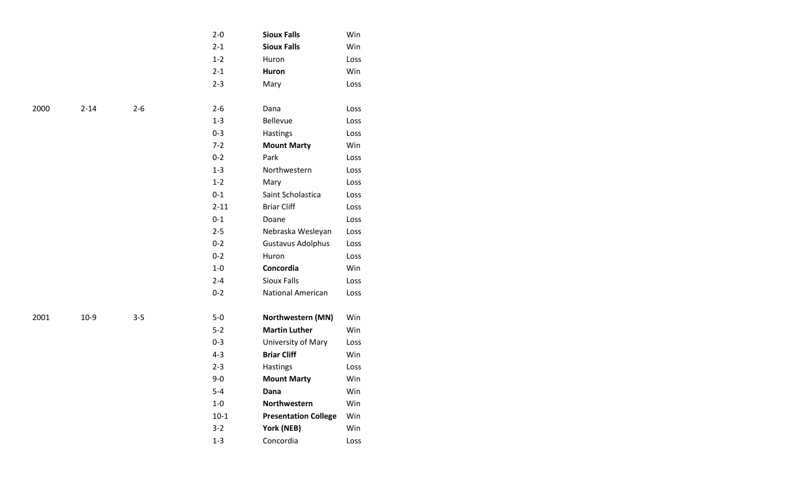|      |          |         | $2 - 0$  | <b>Sioux Falls</b>          | Win  |
|------|----------|---------|----------|-----------------------------|------|
|      |          |         | $2 - 1$  | <b>Sioux Falls</b>          | Win  |
|      |          |         | $1 - 2$  | Huron                       | Loss |
|      |          |         | $2 - 1$  | Huron                       | Win  |
|      |          |         | $2 - 3$  | Mary                        | Loss |
|      |          |         |          |                             |      |
| 2000 | $2 - 14$ | $2 - 6$ | $2 - 6$  | Dana                        | Loss |
|      |          |         | $1 - 3$  | <b>Bellevue</b>             | Loss |
|      |          |         | $0 - 3$  | Hastings                    | Loss |
|      |          |         | $7-2$    | <b>Mount Marty</b>          | Win  |
|      |          |         | $0 - 2$  | Park                        | Loss |
|      |          |         | $1 - 3$  | Northwestern                | Loss |
|      |          |         | $1 - 2$  | Mary                        | Loss |
|      |          |         | $0 - 1$  | Saint Scholastica           | Loss |
|      |          |         | $2 - 11$ | <b>Briar Cliff</b>          | Loss |
|      |          |         | $0 - 1$  | Doane                       | Loss |
|      |          |         | $2 - 5$  | Nebraska Wesleyan           | Loss |
|      |          |         | $0 - 2$  | <b>Gustavus Adolphus</b>    | Loss |
|      |          |         | $0 - 2$  | Huron                       | Loss |
|      |          |         | $1-0$    | Concordia                   | Win  |
|      |          |         | $2 - 4$  | <b>Sioux Falls</b>          | Loss |
|      |          |         | $0 - 2$  | National American           | Loss |
|      |          |         |          |                             |      |
| 2001 | $10-9$   | $3 - 5$ | $5-0$    | Northwestern (MN)           | Win  |
|      |          |         | $5 - 2$  | <b>Martin Luther</b>        | Win  |
|      |          |         | $0 - 3$  | University of Mary          | Loss |
|      |          |         | $4 - 3$  | <b>Briar Cliff</b>          | Win  |
|      |          |         | $2 - 3$  | Hastings                    | Loss |
|      |          |         | $9 - 0$  | <b>Mount Marty</b>          | Win  |
|      |          |         | $5-4$    | Dana                        | Win  |
|      |          |         | $1-0$    | Northwestern                | Win  |
|      |          |         | $10-1$   | <b>Presentation College</b> | Win  |
|      |          |         | $3 - 2$  | York (NEB)                  | Win  |
|      |          |         | $1 - 3$  | Concordia                   | Loss |
|      |          |         |          |                             |      |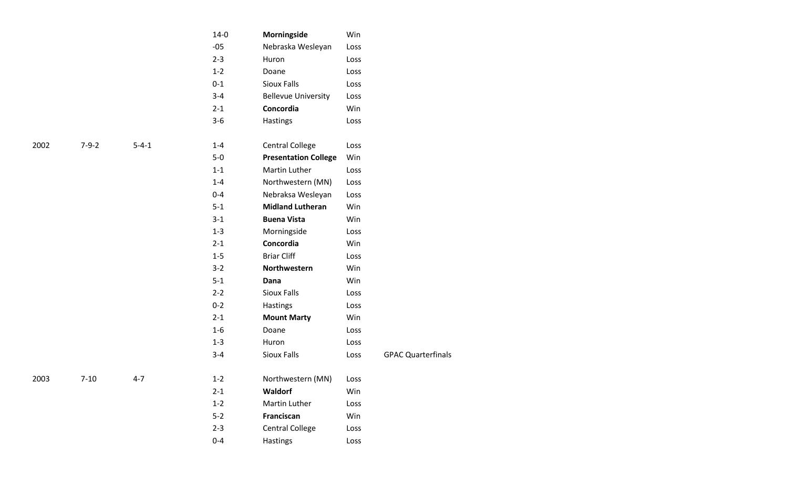|      |             |             | $14-0$  | Morningside                 | Win  |                           |
|------|-------------|-------------|---------|-----------------------------|------|---------------------------|
|      |             |             | $-05$   | Nebraska Wesleyan           | Loss |                           |
|      |             |             | $2 - 3$ | Huron                       | Loss |                           |
|      |             |             | $1 - 2$ | Doane                       | Loss |                           |
|      |             |             | $0 - 1$ | Sioux Falls                 | Loss |                           |
|      |             |             | $3 - 4$ | <b>Bellevue University</b>  | Loss |                           |
|      |             |             | $2 - 1$ | Concordia                   | Win  |                           |
|      |             |             | $3 - 6$ | Hastings                    | Loss |                           |
| 2002 | $7 - 9 - 2$ | $5 - 4 - 1$ | $1 - 4$ | <b>Central College</b>      | Loss |                           |
|      |             |             | $5-0$   | <b>Presentation College</b> | Win  |                           |
|      |             |             | $1 - 1$ | Martin Luther               | Loss |                           |
|      |             |             | $1 - 4$ | Northwestern (MN)           | Loss |                           |
|      |             |             | $0 - 4$ | Nebraksa Wesleyan           | Loss |                           |
|      |             |             | $5 - 1$ | <b>Midland Lutheran</b>     | Win  |                           |
|      |             |             | $3 - 1$ | <b>Buena Vista</b>          | Win  |                           |
|      |             |             | $1 - 3$ | Morningside                 | Loss |                           |
|      |             |             | $2 - 1$ | Concordia                   | Win  |                           |
|      |             |             | $1 - 5$ | <b>Briar Cliff</b>          | Loss |                           |
|      |             |             | $3 - 2$ | Northwestern                | Win  |                           |
|      |             |             | $5 - 1$ | Dana                        | Win  |                           |
|      |             |             | $2 - 2$ | Sioux Falls                 | Loss |                           |
|      |             |             | $0 - 2$ | Hastings                    | Loss |                           |
|      |             |             | $2 - 1$ | <b>Mount Marty</b>          | Win  |                           |
|      |             |             | $1 - 6$ | Doane                       | Loss |                           |
|      |             |             | $1 - 3$ | Huron                       | Loss |                           |
|      |             |             | $3 - 4$ | Sioux Falls                 | Loss | <b>GPAC Quarterfinals</b> |
| 2003 | $7 - 10$    | $4 - 7$     | $1 - 2$ | Northwestern (MN)           | Loss |                           |
|      |             |             | $2 - 1$ | Waldorf                     | Win  |                           |
|      |             |             | $1 - 2$ | Martin Luther               | Loss |                           |
|      |             |             | $5 - 2$ | Franciscan                  | Win  |                           |
|      |             |             | $2 - 3$ | <b>Central College</b>      | Loss |                           |
|      |             |             | $0 - 4$ | Hastings                    | Loss |                           |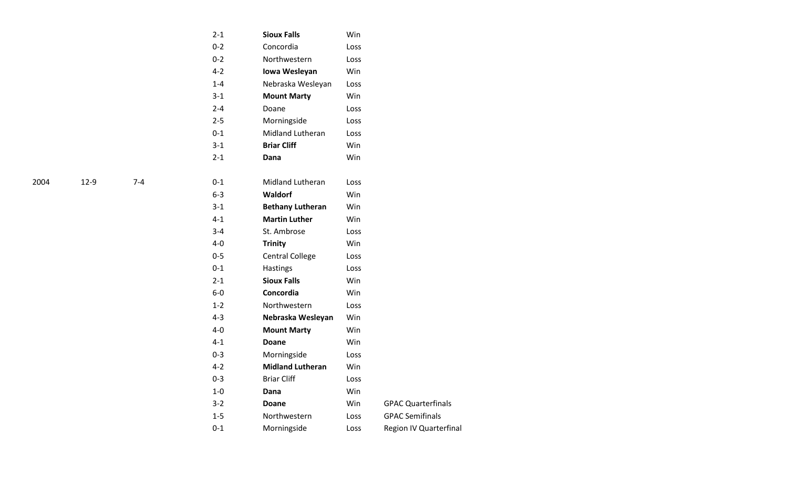| $2 - 1$ | <b>Sioux Falls</b>      | Win  |                           |
|---------|-------------------------|------|---------------------------|
| $0 - 2$ | Concordia               | Loss |                           |
| $0 - 2$ | Northwestern            | Loss |                           |
| $4 - 2$ | Iowa Wesleyan           | Win  |                           |
| $1 - 4$ | Nebraska Wesleyan       | Loss |                           |
| $3 - 1$ | <b>Mount Marty</b>      | Win  |                           |
| $2 - 4$ | Doane                   | Loss |                           |
| $2 - 5$ | Morningside             | Loss |                           |
| $0 - 1$ | Midland Lutheran        | Loss |                           |
| $3 - 1$ | <b>Briar Cliff</b>      | Win  |                           |
| $2 - 1$ | Dana                    | Win  |                           |
|         |                         |      |                           |
| $0 - 1$ | <b>Midland Lutheran</b> | Loss |                           |
| $6-3$   | <b>Waldorf</b>          | Win  |                           |
| $3-1$   | <b>Bethany Lutheran</b> | Win  |                           |
| $4 - 1$ | <b>Martin Luther</b>    | Win  |                           |
| $3 - 4$ | St. Ambrose             | Loss |                           |
| $4 - 0$ | <b>Trinity</b>          | Win  |                           |
| $0 - 5$ | <b>Central College</b>  | Loss |                           |
| $0 - 1$ | Hastings                | Loss |                           |
| $2 - 1$ | <b>Sioux Falls</b>      | Win  |                           |
| $6-0$   | Concordia               | Win  |                           |
| $1 - 2$ | Northwestern            | Loss |                           |
| $4 - 3$ | Nebraska Wesleyan       | Win  |                           |
| $4 - 0$ | <b>Mount Marty</b>      | Win  |                           |
| $4 - 1$ | Doane                   | Win  |                           |
| $0 - 3$ | Morningside             | Loss |                           |
| $4 - 2$ | <b>Midland Lutheran</b> | Win  |                           |
| $0 - 3$ | <b>Briar Cliff</b>      | Loss |                           |
| $1 - 0$ | Dana                    | Win  |                           |
| $3 - 2$ | <b>Doane</b>            | Win  | <b>GPAC Quarterfinals</b> |
| $1 - 5$ | Northwestern            | Loss | <b>GPAC Semifinals</b>    |
| $0 - 1$ | Morningside             | Loss | Region IV Quarterfinal    |
|         |                         |      |                           |

- 9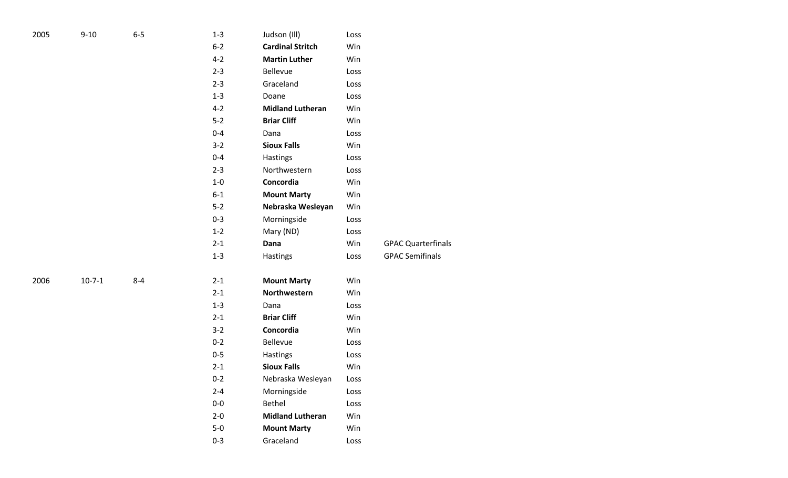| 2005 | $9 - 10$ | $6-5$   | $1 - 3$ | Judson (Ill)            | Loss |                           |
|------|----------|---------|---------|-------------------------|------|---------------------------|
|      |          |         | $6 - 2$ | <b>Cardinal Stritch</b> | Win  |                           |
|      |          |         | $4 - 2$ | <b>Martin Luther</b>    | Win  |                           |
|      |          |         | $2 - 3$ | Bellevue                | Loss |                           |
|      |          |         | $2 - 3$ | Graceland               | Loss |                           |
|      |          |         | $1 - 3$ | Doane                   | Loss |                           |
|      |          |         | $4 - 2$ | <b>Midland Lutheran</b> | Win  |                           |
|      |          |         | $5-2$   | <b>Briar Cliff</b>      | Win  |                           |
|      |          |         | $0 - 4$ | Dana                    | Loss |                           |
|      |          |         | $3 - 2$ | <b>Sioux Falls</b>      | Win  |                           |
|      |          |         | $0 - 4$ | Hastings                | Loss |                           |
|      |          |         | $2 - 3$ | Northwestern            | Loss |                           |
|      |          |         | $1-0$   | Concordia               | Win  |                           |
|      |          |         | $6-1$   | <b>Mount Marty</b>      | Win  |                           |
|      |          |         | $5 - 2$ | Nebraska Wesleyan       | Win  |                           |
|      |          |         | $0 - 3$ | Morningside             | Loss |                           |
|      |          |         | $1 - 2$ | Mary (ND)               | Loss |                           |
|      |          |         | $2 - 1$ | Dana                    | Win  | <b>GPAC Quarterfinals</b> |
|      |          |         | $1-3$   | Hastings                | Loss | <b>GPAC Semifinals</b>    |
|      |          |         |         |                         |      |                           |
| 2006 | $10-7-1$ | $8 - 4$ | $2 - 1$ | <b>Mount Marty</b>      | Win  |                           |
|      |          |         | $2 - 1$ | Northwestern            | Win  |                           |
|      |          |         | $1 - 3$ | Dana                    | Loss |                           |
|      |          |         | $2 - 1$ | <b>Briar Cliff</b>      | Win  |                           |
|      |          |         | $3 - 2$ | Concordia               | Win  |                           |
|      |          |         | $0 - 2$ | Bellevue                | Loss |                           |
|      |          |         | $0 - 5$ | Hastings                | Loss |                           |
|      |          |         | $2 - 1$ | <b>Sioux Falls</b>      | Win  |                           |
|      |          |         | $0 - 2$ | Nebraska Wesleyan       | Loss |                           |
|      |          |         | $2 - 4$ | Morningside             | Loss |                           |
|      |          |         | $0-0$   | Bethel                  | Loss |                           |
|      |          |         | $2 - 0$ | <b>Midland Lutheran</b> | Win  |                           |
|      |          |         | $5-0$   | <b>Mount Marty</b>      | Win  |                           |
|      |          |         | $0 - 3$ | Graceland               | Loss |                           |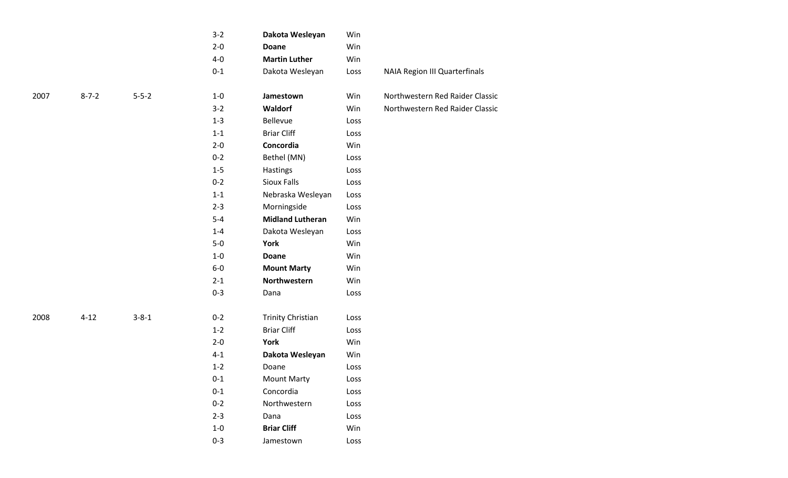|      |             |             | $3-2$   | Dakota Wesleyan          | Win  |                                      |
|------|-------------|-------------|---------|--------------------------|------|--------------------------------------|
|      |             |             | $2 - 0$ | <b>Doane</b>             | Win  |                                      |
|      |             |             | $4-0$   | <b>Martin Luther</b>     | Win  |                                      |
|      |             |             | $0 - 1$ | Dakota Wesleyan          | Loss | <b>NAIA Region III Quarterfinals</b> |
| 2007 | $8 - 7 - 2$ | $5 - 5 - 2$ | $1-0$   | Jamestown                | Win  | Northwestern Red Raider Classic      |
|      |             |             | $3-2$   | Waldorf                  | Win  | Northwestern Red Raider Classic      |
|      |             |             | $1 - 3$ | Bellevue                 | Loss |                                      |
|      |             |             | $1-1$   | <b>Briar Cliff</b>       | Loss |                                      |
|      |             |             | $2 - 0$ | Concordia                | Win  |                                      |
|      |             |             | $0 - 2$ | Bethel (MN)              | Loss |                                      |
|      |             |             | $1-5$   | Hastings                 | Loss |                                      |
|      |             |             | $0 - 2$ | <b>Sioux Falls</b>       | Loss |                                      |
|      |             |             | $1 - 1$ | Nebraska Wesleyan        | Loss |                                      |
|      |             |             | $2 - 3$ | Morningside              | Loss |                                      |
|      |             |             | $5-4$   | <b>Midland Lutheran</b>  | Win  |                                      |
|      |             |             | $1 - 4$ | Dakota Wesleyan          | Loss |                                      |
|      |             |             | $5-0$   | York                     | Win  |                                      |
|      |             |             | $1-0$   | Doane                    | Win  |                                      |
|      |             |             | $6-0$   | <b>Mount Marty</b>       | Win  |                                      |
|      |             |             | $2 - 1$ | Northwestern             | Win  |                                      |
|      |             |             | $0 - 3$ | Dana                     | Loss |                                      |
| 2008 | $4 - 12$    | $3 - 8 - 1$ | $0 - 2$ | <b>Trinity Christian</b> | Loss |                                      |
|      |             |             | $1-2$   | <b>Briar Cliff</b>       | Loss |                                      |
|      |             |             | $2 - 0$ | York                     | Win  |                                      |
|      |             |             | $4 - 1$ | Dakota Wesleyan          | Win  |                                      |
|      |             |             | $1 - 2$ | Doane                    | Loss |                                      |
|      |             |             | $0 - 1$ | <b>Mount Marty</b>       | Loss |                                      |
|      |             |             | $0 - 1$ | Concordia                | Loss |                                      |
|      |             |             | $0 - 2$ | Northwestern             | Loss |                                      |
|      |             |             | $2 - 3$ | Dana                     | Loss |                                      |
|      |             |             | $1-0$   | <b>Briar Cliff</b>       | Win  |                                      |
|      |             |             | $0 - 3$ | Jamestown                | Loss |                                      |
|      |             |             |         |                          |      |                                      |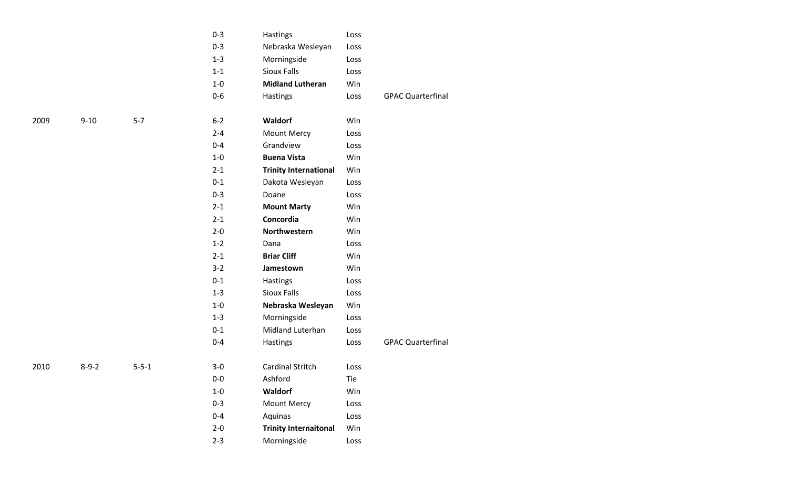|             |             | $0 - 3$ | Hastings                     | Loss |                          |
|-------------|-------------|---------|------------------------------|------|--------------------------|
|             |             | $0 - 3$ | Nebraska Wesleyan            | Loss |                          |
|             |             | $1 - 3$ | Morningside                  | Loss |                          |
|             |             | $1 - 1$ | <b>Sioux Falls</b>           | Loss |                          |
|             |             | $1-0$   | <b>Midland Lutheran</b>      | Win  |                          |
|             |             | $0-6$   | Hastings                     | Loss | <b>GPAC Quarterfinal</b> |
| $9 - 10$    | $5 - 7$     | $6 - 2$ | <b>Waldorf</b>               | Win  |                          |
|             |             | $2 - 4$ | <b>Mount Mercy</b>           | Loss |                          |
|             |             | $0 - 4$ | Grandview                    | Loss |                          |
|             |             | $1-0$   | <b>Buena Vista</b>           | Win  |                          |
|             |             | $2 - 1$ | <b>Trinity International</b> | Win  |                          |
|             |             | $0 - 1$ | Dakota Wesleyan              | Loss |                          |
|             |             | $0 - 3$ | Doane                        | Loss |                          |
|             |             | $2 - 1$ | <b>Mount Marty</b>           | Win  |                          |
|             |             | $2 - 1$ | Concordia                    | Win  |                          |
|             |             | $2 - 0$ | Northwestern                 | Win  |                          |
|             |             | $1 - 2$ | Dana                         | Loss |                          |
|             |             | $2 - 1$ | <b>Briar Cliff</b>           | Win  |                          |
|             |             | $3 - 2$ | Jamestown                    | Win  |                          |
|             |             | $0 - 1$ | Hastings                     | Loss |                          |
|             |             | $1 - 3$ | <b>Sioux Falls</b>           | Loss |                          |
|             |             | $1-0$   | Nebraska Wesleyan            | Win  |                          |
|             |             | $1 - 3$ | Morningside                  | Loss |                          |
|             |             | $0 - 1$ | Midland Luterhan             | Loss |                          |
|             |             | $0 - 4$ | Hastings                     | Loss | <b>GPAC Quarterfinal</b> |
| $8 - 9 - 2$ | $5 - 5 - 1$ | $3-0$   | Cardinal Stritch             | Loss |                          |
|             |             | $0-0$   | Ashford                      | Tie  |                          |
|             |             | $1-0$   | Waldorf                      | Win  |                          |
|             |             | $0 - 3$ | <b>Mount Mercy</b>           | Loss |                          |
|             |             | $0 - 4$ | Aquinas                      | Loss |                          |
|             |             | $2 - 0$ | <b>Trinity Internaitonal</b> | Win  |                          |
|             |             | $2 - 3$ | Morningside                  | Loss |                          |
|             |             |         |                              |      |                          |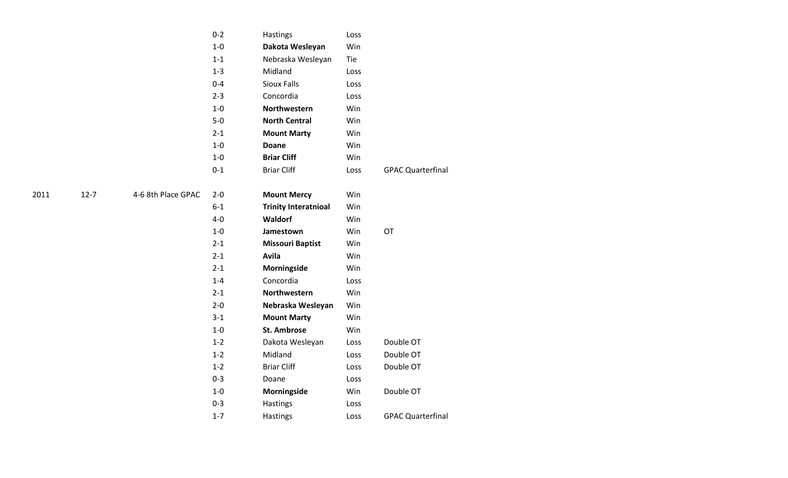|      |          |                    | $0 - 2$ | Hastings                    | Loss |                          |
|------|----------|--------------------|---------|-----------------------------|------|--------------------------|
|      |          |                    | $1-0$   | Dakota Wesleyan             | Win  |                          |
|      |          |                    | $1 - 1$ | Nebraska Wesleyan           | Tie  |                          |
|      |          |                    | $1 - 3$ | Midland                     | Loss |                          |
|      |          |                    | $0 - 4$ | <b>Sioux Falls</b>          | Loss |                          |
|      |          |                    | $2 - 3$ | Concordia                   | Loss |                          |
|      |          |                    | $1-0$   | Northwestern                | Win  |                          |
|      |          |                    | $5-0$   | <b>North Central</b>        | Win  |                          |
|      |          |                    | $2 - 1$ | <b>Mount Marty</b>          | Win  |                          |
|      |          |                    | $1-0$   | Doane                       | Win  |                          |
|      |          |                    | $1-0$   | <b>Briar Cliff</b>          | Win  |                          |
|      |          |                    | $0 - 1$ | <b>Briar Cliff</b>          | Loss | <b>GPAC Quarterfinal</b> |
|      |          |                    |         |                             |      |                          |
| 2011 | $12 - 7$ | 4-6 8th Place GPAC | $2 - 0$ | <b>Mount Mercy</b>          | Win  |                          |
|      |          |                    | $6 - 1$ | <b>Trinity Interatnioal</b> | Win  |                          |
|      |          |                    | $4-0$   | Waldorf                     | Win  |                          |
|      |          |                    | $1-0$   | Jamestown                   | Win  | OT                       |
|      |          |                    | $2 - 1$ | <b>Missouri Baptist</b>     | Win  |                          |
|      |          |                    | $2 - 1$ | Avila                       | Win  |                          |
|      |          |                    | $2 - 1$ | Morningside                 | Win  |                          |
|      |          |                    | $1 - 4$ | Concordia                   | Loss |                          |
|      |          |                    | $2 - 1$ | Northwestern                | Win  |                          |
|      |          |                    | $2 - 0$ | Nebraska Wesleyan           | Win  |                          |
|      |          |                    | $3 - 1$ | <b>Mount Marty</b>          | Win  |                          |
|      |          |                    | $1-0$   | <b>St. Ambrose</b>          | Win  |                          |
|      |          |                    | $1 - 2$ | Dakota Wesleyan             | Loss | Double OT                |
|      |          |                    | $1 - 2$ | Midland                     | Loss | Double OT                |
|      |          |                    | $1-2$   | <b>Briar Cliff</b>          | Loss | Double OT                |
|      |          |                    | $0 - 3$ | Doane                       | Loss |                          |
|      |          |                    | $1-0$   | Morningside                 | Win  | Double OT                |
|      |          |                    | $0 - 3$ | Hastings                    | Loss |                          |
|      |          |                    | $1 - 7$ | Hastings                    | Loss | <b>GPAC Quarterfinal</b> |
|      |          |                    |         |                             |      |                          |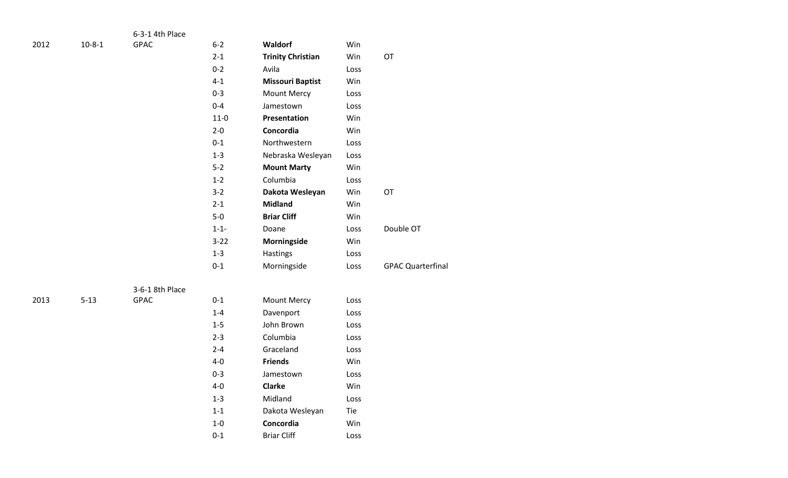|      |              | 6-3-1 4th Place |           |                          |      |                          |
|------|--------------|-----------------|-----------|--------------------------|------|--------------------------|
| 2012 | $10 - 8 - 1$ | GPAC            | $6 - 2$   | Waldorf                  | Win  |                          |
|      |              |                 | $2-1$     | <b>Trinity Christian</b> | Win  | OT                       |
|      |              |                 | $0 - 2$   | Avila                    | Loss |                          |
|      |              |                 | $4 - 1$   | <b>Missouri Baptist</b>  | Win  |                          |
|      |              |                 | $0 - 3$   | <b>Mount Mercy</b>       | Loss |                          |
|      |              |                 | $0 - 4$   | Jamestown                | Loss |                          |
|      |              |                 | $11-0$    | Presentation             | Win  |                          |
|      |              |                 | $2 - 0$   | Concordia                | Win  |                          |
|      |              |                 | $0 - 1$   | Northwestern             | Loss |                          |
|      |              |                 | $1 - 3$   | Nebraska Wesleyan        | Loss |                          |
|      |              |                 | $5-2$     | <b>Mount Marty</b>       | Win  |                          |
|      |              |                 | $1 - 2$   | Columbia                 | Loss |                          |
|      |              |                 | $3 - 2$   | Dakota Wesleyan          | Win  | OT                       |
|      |              |                 | $2 - 1$   | <b>Midland</b>           | Win  |                          |
|      |              |                 | $5-0$     | <b>Briar Cliff</b>       | Win  |                          |
|      |              |                 | $1 - 1 -$ | Doane                    | Loss | Double OT                |
|      |              |                 | $3 - 22$  | Morningside              | Win  |                          |
|      |              |                 | $1 - 3$   | Hastings                 | Loss |                          |
|      |              |                 | $0 - 1$   | Morningside              | Loss | <b>GPAC Quarterfinal</b> |
|      |              |                 |           |                          |      |                          |
|      |              | 3-6-1 8th Place |           |                          |      |                          |
| 2013 | $5 - 13$     | GPAC            | $0 - 1$   | <b>Mount Mercy</b>       | Loss |                          |
|      |              |                 | $1 - 4$   | Davenport                | Loss |                          |
|      |              |                 | $1-5$     | John Brown               | Loss |                          |
|      |              |                 | $2 - 3$   | Columbia                 | Loss |                          |
|      |              |                 | $2 - 4$   | Graceland                | Loss |                          |
|      |              |                 | $4-0$     | <b>Friends</b>           | Win  |                          |
|      |              |                 | $0 - 3$   | Jamestown                | Loss |                          |
|      |              |                 | $4-0$     | <b>Clarke</b>            | Win  |                          |
|      |              |                 | $1 - 3$   | Midland                  | Loss |                          |
|      |              |                 | $1 - 1$   | Dakota Wesleyan          | Tie  |                          |
|      |              |                 | $1-0$     | Concordia                | Win  |                          |
|      |              |                 | $0 - 1$   | <b>Briar Cliff</b>       | Loss |                          |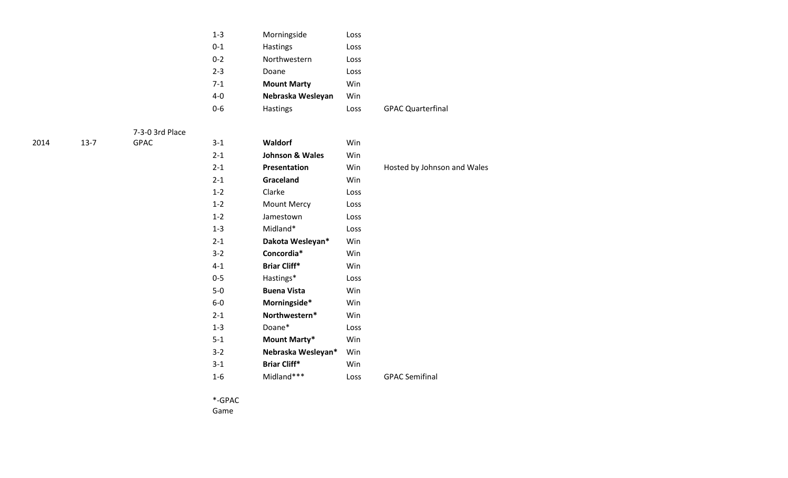|      |          |                 | $1 - 3$ | Morningside                | Loss |                             |
|------|----------|-----------------|---------|----------------------------|------|-----------------------------|
|      |          |                 | $0 - 1$ | Hastings                   | Loss |                             |
|      |          |                 | $0 - 2$ | Northwestern               | Loss |                             |
|      |          |                 | $2 - 3$ | Doane                      | Loss |                             |
|      |          |                 | $7 - 1$ | <b>Mount Marty</b>         | Win  |                             |
|      |          |                 | $4-0$   | Nebraska Wesleyan          | Win  |                             |
|      |          |                 | $0-6$   | Hastings                   | Loss | <b>GPAC Quarterfinal</b>    |
|      |          | 7-3-0 3rd Place |         |                            |      |                             |
| 2014 | $13 - 7$ | <b>GPAC</b>     | $3 - 1$ | Waldorf                    | Win  |                             |
|      |          |                 | $2 - 1$ | <b>Johnson &amp; Wales</b> | Win  |                             |
|      |          |                 | $2 - 1$ | Presentation               | Win  | Hosted by Johnson and Wales |
|      |          |                 | $2 - 1$ | Graceland                  | Win  |                             |
|      |          |                 | $1 - 2$ | Clarke                     | Loss |                             |
|      |          |                 | $1 - 2$ | Mount Mercy                | Loss |                             |
|      |          |                 | $1 - 2$ | Jamestown                  | Loss |                             |
|      |          |                 | $1 - 3$ | Midland*                   | Loss |                             |
|      |          |                 | $2 - 1$ | Dakota Wesleyan*           | Win  |                             |
|      |          |                 | $3 - 2$ | Concordia*                 | Win  |                             |
|      |          |                 | $4 - 1$ | <b>Briar Cliff*</b>        | Win  |                             |
|      |          |                 | $0 - 5$ | Hastings*                  | Loss |                             |
|      |          |                 | $5-0$   | <b>Buena Vista</b>         | Win  |                             |
|      |          |                 | $6-0$   | Morningside*               | Win  |                             |
|      |          |                 | $2 - 1$ | Northwestern*              | Win  |                             |
|      |          |                 | $1 - 3$ | Doane*                     | Loss |                             |
|      |          |                 | $5 - 1$ | Mount Marty*               | Win  |                             |
|      |          |                 | $3 - 2$ | Nebraska Wesleyan*         | Win  |                             |
|      |          |                 | $3 - 1$ | <b>Briar Cliff*</b>        | Win  |                             |
|      |          |                 | $1-6$   | Midland***                 | Loss | <b>GPAC Semifinal</b>       |
|      |          |                 |         |                            |      |                             |

\*-GPAC

Game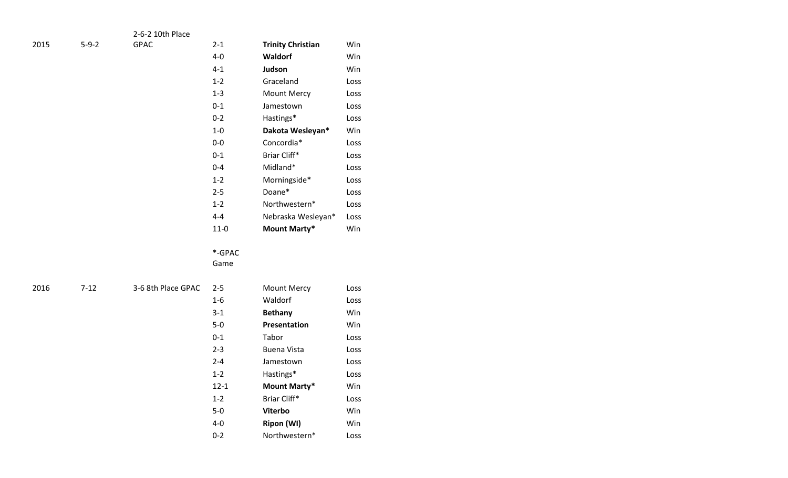|      |             | 2-6-2 10th Place   |          |                          |             |
|------|-------------|--------------------|----------|--------------------------|-------------|
| 2015 | $5 - 9 - 2$ | GPAC               | $2 - 1$  | <b>Trinity Christian</b> | Win         |
|      |             |                    | $4-0$    | Waldorf                  | Win         |
|      |             |                    | $4 - 1$  | Judson                   | Win         |
|      |             |                    | $1-2$    | Graceland                | Loss        |
|      |             |                    | $1-3$    | Mount Mercy              | Loss        |
|      |             |                    | $0-1$    | Jamestown                | Loss        |
|      |             |                    | $0-2$    | Hastings*                | Loss        |
|      |             |                    | $1-0$    | Dakota Wesleyan*         | Win         |
|      |             |                    | $0-0$    | Concordia*               | Loss        |
|      |             |                    | $0-1$    | Briar Cliff*             | Loss        |
|      |             |                    | $0 - 4$  | Midland*                 | Loss        |
|      |             |                    | $1 - 2$  | Morningside*             | Loss        |
|      |             |                    | $2 - 5$  | Doane*                   | Loss        |
|      |             |                    | $1-2$    | Northwestern*            | Loss        |
|      |             |                    | $4 - 4$  | Nebraska Wesleyan*       | Loss        |
|      |             |                    | $11-0$   | Mount Marty*             | Win         |
|      |             |                    |          |                          |             |
|      |             |                    | *-GPAC   |                          |             |
|      |             |                    | Game     |                          |             |
| 2016 | $7 - 12$    | 3-6 8th Place GPAC | $2 - 5$  | Mount Mercy              |             |
|      |             |                    | $1-6$    | Waldorf                  | Loss        |
|      |             |                    | $3-1$    |                          | Loss<br>Win |
|      |             |                    |          | <b>Bethany</b>           |             |
|      |             |                    | $5-0$    | Presentation             | Win         |
|      |             |                    | $0 - 1$  | Tabor                    | Loss        |
|      |             |                    | $2 - 3$  | <b>Buena Vista</b>       | Loss        |
|      |             |                    | $2 - 4$  | Jamestown                | Loss        |
|      |             |                    | $1 - 2$  | Hastings*                | Loss        |
|      |             |                    | $12 - 1$ | <b>Mount Marty*</b>      | Win         |
|      |             |                    | $1 - 2$  | Briar Cliff*             | Loss        |
|      |             |                    | $5-0$    | Viterbo                  | Win         |
|      |             |                    | $4-0$    | <b>Ripon (WI)</b>        | Win         |
|      |             |                    | $0 - 2$  | Northwestern*            | Loss        |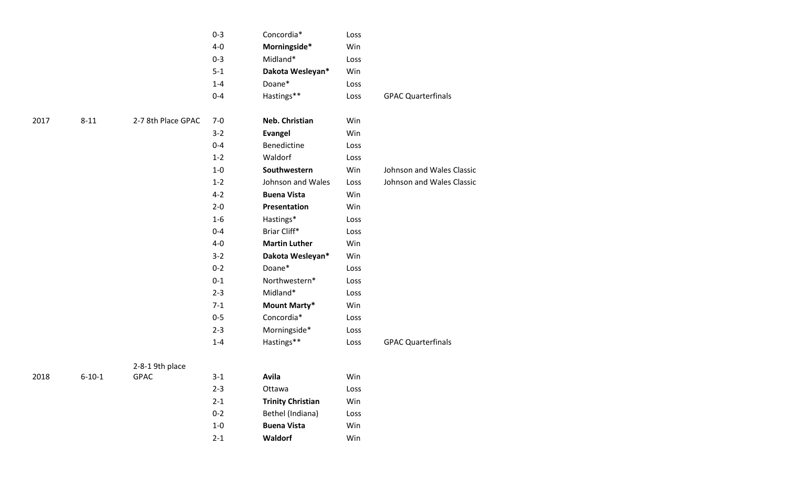|      |              |                    | $0 - 3$ | Concordia*               | Loss |                           |
|------|--------------|--------------------|---------|--------------------------|------|---------------------------|
|      |              |                    | $4-0$   | Morningside*             | Win  |                           |
|      |              |                    | $0 - 3$ | Midland*                 | Loss |                           |
|      |              |                    | $5-1$   | Dakota Wesleyan*         | Win  |                           |
|      |              |                    | $1 - 4$ | Doane*                   | Loss |                           |
|      |              |                    | $0 - 4$ | Hastings**               | Loss | <b>GPAC Quarterfinals</b> |
| 2017 | $8 - 11$     | 2-7 8th Place GPAC | $7 - 0$ | Neb. Christian           | Win  |                           |
|      |              |                    | $3 - 2$ | <b>Evangel</b>           | Win  |                           |
|      |              |                    | $0 - 4$ | Benedictine              | Loss |                           |
|      |              |                    | $1 - 2$ | Waldorf                  | Loss |                           |
|      |              |                    | $1-0$   | Southwestern             | Win  | Johnson and Wales Classic |
|      |              |                    | $1 - 2$ | Johnson and Wales        | Loss | Johnson and Wales Classic |
|      |              |                    | $4 - 2$ | <b>Buena Vista</b>       | Win  |                           |
|      |              |                    | $2 - 0$ | Presentation             | Win  |                           |
|      |              |                    | $1-6$   | Hastings*                | Loss |                           |
|      |              |                    | $0 - 4$ | Briar Cliff*             | Loss |                           |
|      |              |                    | $4-0$   | <b>Martin Luther</b>     | Win  |                           |
|      |              |                    | $3 - 2$ | Dakota Wesleyan*         | Win  |                           |
|      |              |                    | $0 - 2$ | Doane*                   | Loss |                           |
|      |              |                    | $0 - 1$ | Northwestern*            | Loss |                           |
|      |              |                    | $2 - 3$ | Midland*                 | Loss |                           |
|      |              |                    | $7 - 1$ | <b>Mount Marty*</b>      | Win  |                           |
|      |              |                    | $0 - 5$ | Concordia*               | Loss |                           |
|      |              |                    | $2 - 3$ | Morningside*             | Loss |                           |
|      |              |                    | $1 - 4$ | Hastings**               | Loss | <b>GPAC Quarterfinals</b> |
|      |              | 2-8-1 9th place    |         |                          |      |                           |
| 2018 | $6 - 10 - 1$ | <b>GPAC</b>        | $3-1$   | Avila                    | Win  |                           |
|      |              |                    | $2 - 3$ | Ottawa                   | Loss |                           |
|      |              |                    | $2 - 1$ | <b>Trinity Christian</b> | Win  |                           |
|      |              |                    | $0 - 2$ | Bethel (Indiana)         | Loss |                           |
|      |              |                    | $1-0$   | <b>Buena Vista</b>       | Win  |                           |

2-1 **Waldorf** Win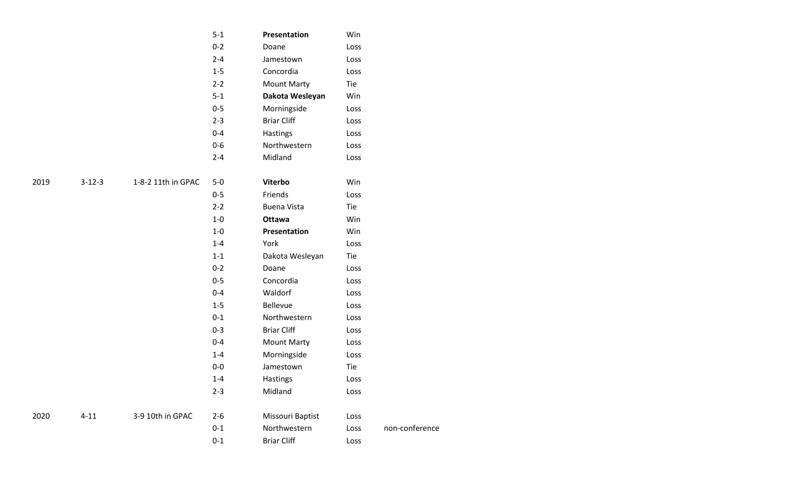|      |              |                    | $5-1$   | Presentation       | Win  |                |
|------|--------------|--------------------|---------|--------------------|------|----------------|
|      |              |                    | $0 - 2$ | Doane              | Loss |                |
|      |              |                    | $2 - 4$ | Jamestown          | Loss |                |
|      |              |                    | $1 - 5$ | Concordia          | Loss |                |
|      |              |                    | $2 - 2$ | <b>Mount Marty</b> | Tie  |                |
|      |              |                    | $5 - 1$ | Dakota Wesleyan    | Win  |                |
|      |              |                    | $0 - 5$ | Morningside        | Loss |                |
|      |              |                    | $2 - 3$ | <b>Briar Cliff</b> | Loss |                |
|      |              |                    | $0 - 4$ | Hastings           | Loss |                |
|      |              |                    | $0-6$   | Northwestern       | Loss |                |
|      |              |                    | $2 - 4$ | Midland            | Loss |                |
| 2019 | $3 - 12 - 3$ | 1-8-2 11th in GPAC | $5-0$   | Viterbo            | Win  |                |
|      |              |                    | $0 - 5$ | Friends            | Loss |                |
|      |              |                    | $2 - 2$ | <b>Buena Vista</b> | Tie  |                |
|      |              |                    | $1-0$   | <b>Ottawa</b>      | Win  |                |
|      |              |                    | $1-0$   | Presentation       | Win  |                |
|      |              |                    | $1 - 4$ | York               | Loss |                |
|      |              |                    | $1 - 1$ | Dakota Wesleyan    | Tie  |                |
|      |              |                    | $0 - 2$ | Doane              | Loss |                |
|      |              |                    | $0 - 5$ | Concordia          | Loss |                |
|      |              |                    | $0 - 4$ | Waldorf            | Loss |                |
|      |              |                    | $1 - 5$ | Bellevue           | Loss |                |
|      |              |                    | $0 - 1$ | Northwestern       | Loss |                |
|      |              |                    | $0 - 3$ | <b>Briar Cliff</b> | Loss |                |
|      |              |                    | $0 - 4$ | <b>Mount Marty</b> | Loss |                |
|      |              |                    | $1 - 4$ | Morningside        | Loss |                |
|      |              |                    | $0-0$   | Jamestown          | Tie  |                |
|      |              |                    | $1 - 4$ | Hastings           | Loss |                |
|      |              |                    | $2 - 3$ | Midland            | Loss |                |
| 2020 | $4 - 11$     | 3-9 10th in GPAC   | $2 - 6$ | Missouri Baptist   | Loss |                |
|      |              |                    | $0 - 1$ | Northwestern       | Loss | non-conference |
|      |              |                    | $0 - 1$ | <b>Briar Cliff</b> | Loss |                |
|      |              |                    |         |                    |      |                |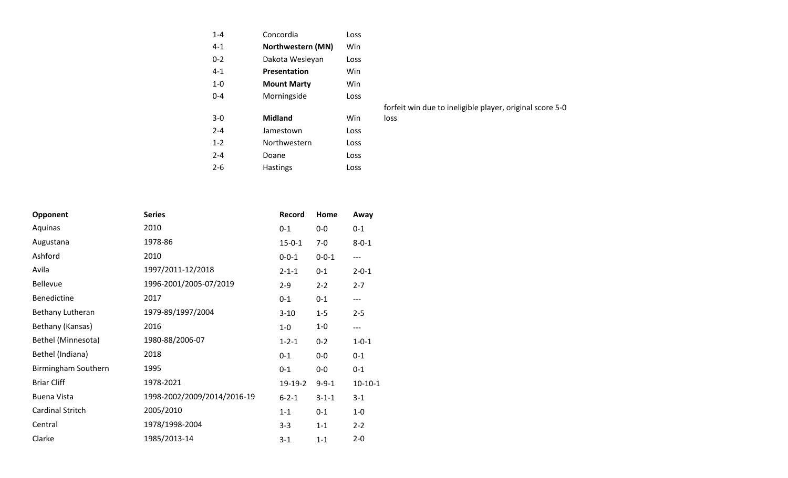| $1 - 4$ | Concordia          | Loss |
|---------|--------------------|------|
| $4 - 1$ | Northwestern (MN)  | Win  |
| $0 - 2$ | Dakota Wesleyan    | Loss |
| 4-1     | Presentation       | Win  |
| $1 - 0$ | <b>Mount Marty</b> | Win  |
| $0 - 4$ | Morningside        | Loss |
|         |                    |      |
| $3-0$   | <b>Midland</b>     | Win  |
| $2 - 4$ | Jamestown          | Loss |
| $1 - 2$ | Northwestern       | Loss |
| $2 - 4$ | Doane              | Loss |
| 2-6     | <b>Hastings</b>    | Loss |

forfeit win due to ineligible player, original score 5-0

loss

|                     |                        | $2 - 6$ | <b>Hastings</b> |             | Loss        |
|---------------------|------------------------|---------|-----------------|-------------|-------------|
|                     |                        |         |                 |             |             |
| Opponent            | <b>Series</b>          |         | Record          | Home        | Away        |
| Aquinas             | 2010                   |         | $0 - 1$         | $0-0$       | $0-1$       |
| Augustana           | 1978-86                |         | $15 - 0 - 1$    | $7-0$       | $8 - 0 - 1$ |
| Ashford             | 2010                   |         | $0 - 0 - 1$     | $0 - 0 - 1$ | $---$       |
| Avila               | 1997/2011-12/2018      |         | $2 - 1 - 1$     | $0 - 1$     | $2 - 0 - 1$ |
| <b>Bellevue</b>     | 1996-2001/2005-07/2019 |         | $2 - 9$         | $2 - 2$     | $2 - 7$     |
| <b>Benedictine</b>  | 2017                   |         | $0 - 1$         | $0 - 1$     | ---         |
| Bethany Lutheran    | 1979-89/1997/2004      |         | $3 - 10$        | $1 - 5$     | $2 - 5$     |
| Bethany (Kansas)    | 2016                   |         | $1-0$           | $1-0$       | $---$       |
| Bethel (Minnesota)  | 1980-88/2006-07        |         | $1 - 2 - 1$     | $0 - 2$     | $1 - 0 - 1$ |
| Bethel (Indiana)    | 2018                   |         | $0 - 1$         | $0-0$       | $0 - 1$     |
| Birmingham Southern | 1995                   |         | $0 - 1$         | $0-0$       | $0 - 1$     |

Briar Cliff 1978-2021 19-19-2 9-9-1 10-10-1

Buena Vista 1998-2002/2009/2014/2016-19 6-2-1 3-1-1 3-1 Cardinal Stritch 2005/2010 1-1 0-1 1-0 Central 1978/1998-2004 3-3 1-1 2-2 Clarke 1985/2013-14 3-1 1-1 2-0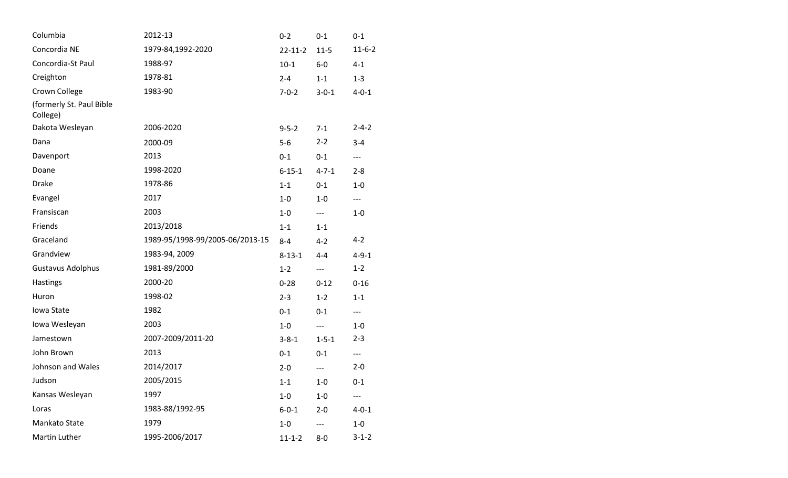| Columbia                             | 2012-13                         | $0 - 2$       | $0 - 1$     | $0 - 1$      |
|--------------------------------------|---------------------------------|---------------|-------------|--------------|
| Concordia NE                         | 1979-84,1992-2020               | $22 - 11 - 2$ | $11 - 5$    | $11 - 6 - 2$ |
| Concordia-St Paul                    | 1988-97                         | $10-1$        | $6-0$       | $4 - 1$      |
| Creighton                            | 1978-81                         | $2 - 4$       | $1 - 1$     | $1 - 3$      |
| Crown College                        | 1983-90                         | $7 - 0 - 2$   | $3 - 0 - 1$ | $4 - 0 - 1$  |
| (formerly St. Paul Bible<br>College) |                                 |               |             |              |
| Dakota Wesleyan                      | 2006-2020                       | $9 - 5 - 2$   | $7 - 1$     | $2 - 4 - 2$  |
| Dana                                 | 2000-09                         | $5-6$         | $2 - 2$     | $3 - 4$      |
| Davenport                            | 2013                            | $0 - 1$       | $0 - 1$     | $---$        |
| Doane                                | 1998-2020                       | $6 - 15 - 1$  | $4 - 7 - 1$ | $2 - 8$      |
| <b>Drake</b>                         | 1978-86                         | $1 - 1$       | $0 - 1$     | $1-0$        |
| Evangel                              | 2017                            | $1-0$         | $1-0$       | $---$        |
| Fransiscan                           | 2003                            | $1-0$         | ---         | $1 - 0$      |
| Friends                              | 2013/2018                       | $1 - 1$       | $1 - 1$     |              |
| Graceland                            | 1989-95/1998-99/2005-06/2013-15 | $8 - 4$       | $4 - 2$     | $4 - 2$      |
| Grandview                            | 1983-94, 2009                   | $8 - 13 - 1$  | $4 - 4$     | $4 - 9 - 1$  |
| <b>Gustavus Adolphus</b>             | 1981-89/2000                    | $1 - 2$       | ---         | $1 - 2$      |
| Hastings                             | 2000-20                         | $0 - 28$      | $0 - 12$    | $0 - 16$     |
| Huron                                | 1998-02                         | $2 - 3$       | $1 - 2$     | $1 - 1$      |
| Iowa State                           | 1982                            | $0 - 1$       | $0 - 1$     | $---$        |
| Iowa Wesleyan                        | 2003                            | $1-0$         | ---         | $1-0$        |
| Jamestown                            | 2007-2009/2011-20               | $3 - 8 - 1$   | $1 - 5 - 1$ | $2 - 3$      |
| John Brown                           | 2013                            | $0 - 1$       | $0 - 1$     | $---$        |
| Johnson and Wales                    | 2014/2017                       | $2 - 0$       | ---         | $2 - 0$      |
| Judson                               | 2005/2015                       | $1 - 1$       | $1-0$       | $0 - 1$      |
| Kansas Wesleyan                      | 1997                            | $1-0$         | $1-0$       |              |
| Loras                                | 1983-88/1992-95                 | $6 - 0 - 1$   | $2 - 0$     | $4 - 0 - 1$  |
| Mankato State                        | 1979                            | $1-0$         |             | $1-0$        |
| Martin Luther                        | 1995-2006/2017                  | $11 - 1 - 2$  | $8-0$       | $3 - 1 - 2$  |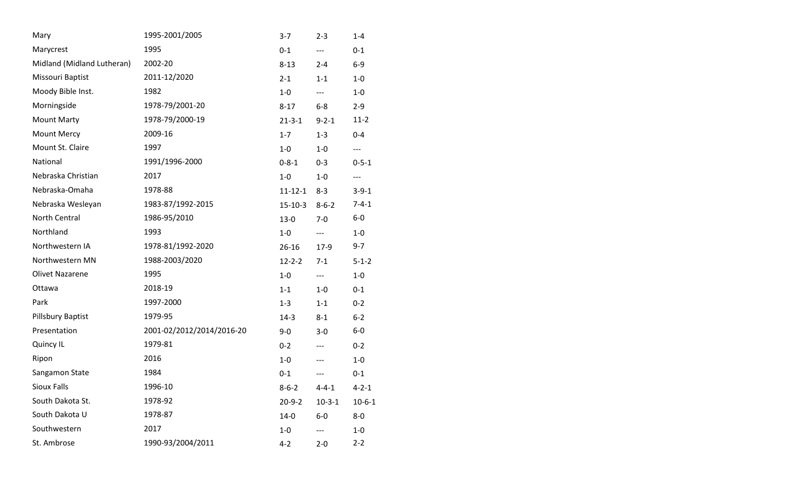| Mary                       | 1995-2001/2005            | $3 - 7$       | $2 - 3$      | $1 - 4$             |
|----------------------------|---------------------------|---------------|--------------|---------------------|
| Marycrest                  | 1995                      | $0 - 1$       | $---$        | $0 - 1$             |
| Midland (Midland Lutheran) | 2002-20                   | $8 - 13$      | $2 - 4$      | $6-9$               |
| Missouri Baptist           | 2011-12/2020              | $2 - 1$       | $1 - 1$      | $1-0$               |
| Moody Bible Inst.          | 1982                      | $1-0$         | $---$        | $1-0$               |
| Morningside                | 1978-79/2001-20           | $8 - 17$      | $6-8$        | $2 - 9$             |
| <b>Mount Marty</b>         | 1978-79/2000-19           | $21 - 3 - 1$  | $9 - 2 - 1$  | $11-2$              |
| <b>Mount Mercy</b>         | 2009-16                   | $1 - 7$       | $1 - 3$      | $0 - 4$             |
| Mount St. Claire           | 1997                      | $1-0$         | $1-0$        | $---$               |
| National                   | 1991/1996-2000            | $0 - 8 - 1$   | $0 - 3$      | $0 - 5 - 1$         |
| Nebraska Christian         | 2017                      | $1-0$         | $1-0$        | $\qquad \qquad - -$ |
| Nebraska-Omaha             | 1978-88                   | $11 - 12 - 1$ | $8 - 3$      | $3 - 9 - 1$         |
| Nebraska Wesleyan          | 1983-87/1992-2015         | $15-10-3$     | $8 - 6 - 2$  | $7 - 4 - 1$         |
| North Central              | 1986-95/2010              | $13 - 0$      | $7 - 0$      | $6-0$               |
| Northland                  | 1993                      | $1-0$         | $---$        | $1-0$               |
| Northwestern IA            | 1978-81/1992-2020         | $26 - 16$     | $17-9$       | $9 - 7$             |
| Northwestern MN            | 1988-2003/2020            | $12 - 2 - 2$  | $7 - 1$      | $5 - 1 - 2$         |
| <b>Olivet Nazarene</b>     | 1995                      | $1-0$         | $---$        | $1-0$               |
| Ottawa                     | 2018-19                   | $1 - 1$       | $1-0$        | $0 - 1$             |
| Park                       | 1997-2000                 | $1 - 3$       | $1 - 1$      | $0 - 2$             |
| Pillsbury Baptist          | 1979-95                   | $14-3$        | $8 - 1$      | $6 - 2$             |
| Presentation               | 2001-02/2012/2014/2016-20 | $9-0$         | $3-0$        | $6-0$               |
| Quincy IL                  | 1979-81                   | $0 - 2$       | ---          | $0 - 2$             |
| Ripon                      | 2016                      | $1-0$         | ---          | $1-0$               |
| Sangamon State             | 1984                      | $0 - 1$       | ---          | $0 - 1$             |
| <b>Sioux Falls</b>         | 1996-10                   | $8 - 6 - 2$   | $4 - 4 - 1$  | $4 - 2 - 1$         |
| South Dakota St.           | 1978-92                   | $20 - 9 - 2$  | $10 - 3 - 1$ | $10 - 6 - 1$        |
| South Dakota U             | 1978-87                   | $14-0$        | $6-0$        | $8-0$               |
| Southwestern               | 2017                      | $1 - 0$       |              | $1 - 0$             |
| St. Ambrose                | 1990-93/2004/2011         | $4 - 2$       | $2 - 0$      | $2 - 2$             |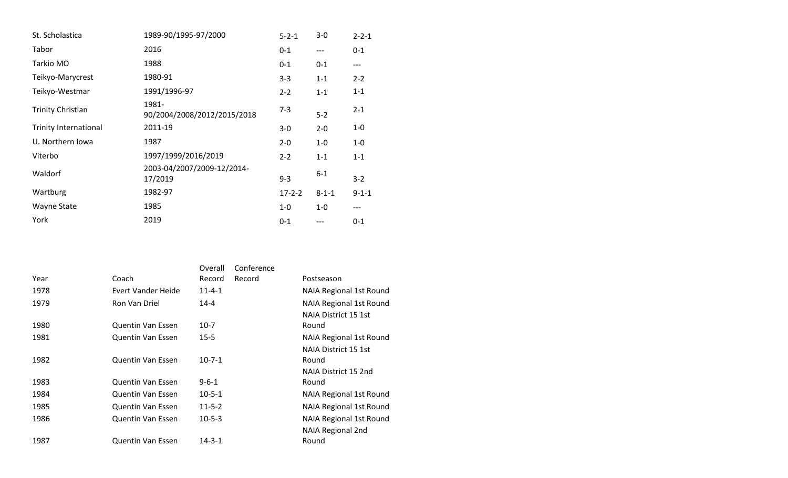| St. Scholastica              | 1989-90/1995-97/2000                  | $5 - 2 - 1$  | $3-0$       | $2 - 2 - 1$ |
|------------------------------|---------------------------------------|--------------|-------------|-------------|
| Tabor                        | 2016                                  | $0 - 1$      | $---$       | $0 - 1$     |
| Tarkio MO                    | 1988                                  | $0 - 1$      | $0 - 1$     | $---$       |
| Teikyo-Marycrest             | 1980-91                               | $3 - 3$      | $1 - 1$     | $2 - 2$     |
| Teikyo-Westmar               | 1991/1996-97                          | $2 - 2$      | $1 - 1$     | $1 - 1$     |
| <b>Trinity Christian</b>     | 1981-<br>90/2004/2008/2012/2015/2018  | $7 - 3$      | $5 - 2$     | $2 - 1$     |
| <b>Trinity International</b> | 2011-19                               | $3-0$        | $2 - 0$     | $1 - 0$     |
| U. Northern Iowa             | 1987                                  | $2 - 0$      | $1-0$       | $1-0$       |
| Viterbo                      | 1997/1999/2016/2019                   | $2 - 2$      | $1 - 1$     | $1 - 1$     |
| Waldorf                      | 2003-04/2007/2009-12/2014-<br>17/2019 | $9 - 3$      | $6 - 1$     | $3 - 2$     |
| Wartburg                     | 1982-97                               | $17 - 2 - 2$ | $8 - 1 - 1$ | $9 - 1 - 1$ |
| Wayne State                  | 1985                                  | $1-0$        | $1-0$       | ---         |
| York                         | 2019                                  | $0 - 1$      | ---         | $0 - 1$     |

|      |                          | Overall      | Conference |                                |
|------|--------------------------|--------------|------------|--------------------------------|
| Year | Coach                    | Record       | Record     | Postseason                     |
| 1978 | Evert Vander Heide       | $11 - 4 - 1$ |            | <b>NAIA Regional 1st Round</b> |
| 1979 | Ron Van Driel            | $14 - 4$     |            | <b>NAIA Regional 1st Round</b> |
|      |                          |              |            | NAIA District 15 1st           |
| 1980 | <b>Quentin Van Essen</b> | $10-7$       |            | Round                          |
| 1981 | <b>Quentin Van Essen</b> | $15 - 5$     |            | <b>NAIA Regional 1st Round</b> |
|      |                          |              |            | NAIA District 15 1st           |
| 1982 | <b>Quentin Van Essen</b> | $10-7-1$     |            | Round                          |
|      |                          |              |            | NAIA District 15 2nd           |
| 1983 | <b>Quentin Van Essen</b> | $9 - 6 - 1$  |            | Round                          |
| 1984 | Quentin Van Essen        | $10 - 5 - 1$ |            | <b>NAIA Regional 1st Round</b> |
| 1985 | Quentin Van Essen        | $11 - 5 - 2$ |            | <b>NAIA Regional 1st Round</b> |
| 1986 | <b>Quentin Van Essen</b> | $10-5-3$     |            | <b>NAIA Regional 1st Round</b> |
|      |                          |              |            | <b>NAIA Regional 2nd</b>       |
| 1987 | <b>Quentin Van Essen</b> | $14 - 3 - 1$ |            | Round                          |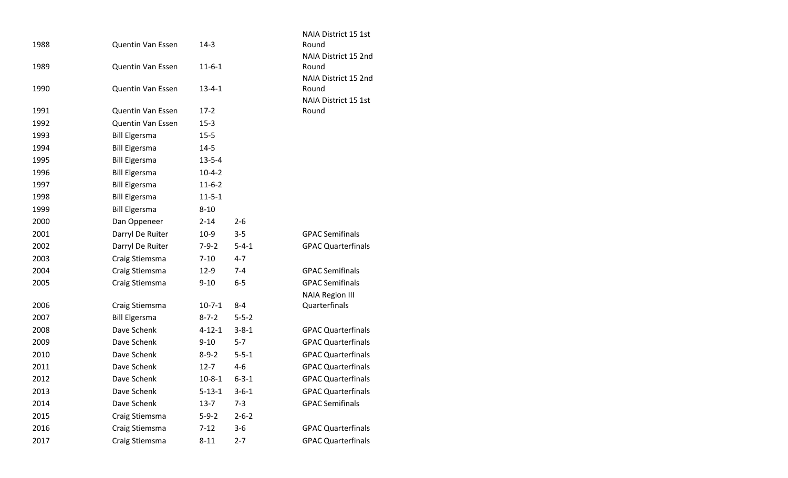|      |                                              |                          |             | NAIA District 15 1st          |
|------|----------------------------------------------|--------------------------|-------------|-------------------------------|
| 1988 | Quentin Van Essen                            | $14-3$                   |             | Round                         |
|      |                                              |                          |             | NAIA District 15 2nd          |
| 1989 | Quentin Van Essen                            | $11 - 6 - 1$             |             | Round                         |
|      |                                              |                          |             | NAIA District 15 2nd          |
| 1990 | Quentin Van Essen                            | $13 - 4 - 1$             |             | Round                         |
| 1991 | <b>Quentin Van Essen</b>                     | $17-2$                   |             | NAIA District 15 1st<br>Round |
| 1992 | Quentin Van Essen                            | $15 - 3$                 |             |                               |
| 1993 | <b>Bill Elgersma</b>                         | $15 - 5$                 |             |                               |
| 1994 | <b>Bill Elgersma</b>                         | $14 - 5$                 |             |                               |
| 1995 | <b>Bill Elgersma</b>                         | $13 - 5 - 4$             |             |                               |
| 1996 |                                              |                          |             |                               |
| 1997 | <b>Bill Elgersma</b><br><b>Bill Elgersma</b> | $10 - 4 - 2$<br>$11-6-2$ |             |                               |
|      |                                              |                          |             |                               |
| 1998 | <b>Bill Elgersma</b>                         | $11 - 5 - 1$             |             |                               |
| 1999 | <b>Bill Elgersma</b>                         | $8 - 10$                 |             |                               |
| 2000 | Dan Oppeneer                                 | $2 - 14$                 | $2 - 6$     |                               |
| 2001 | Darryl De Ruiter                             | $10-9$                   | $3 - 5$     | <b>GPAC Semifinals</b>        |
| 2002 | Darryl De Ruiter                             | $7 - 9 - 2$              | $5 - 4 - 1$ | <b>GPAC Quarterfinals</b>     |
| 2003 | Craig Stiemsma                               | $7 - 10$                 | $4 - 7$     |                               |
| 2004 | Craig Stiemsma                               | $12-9$                   | $7 - 4$     | <b>GPAC Semifinals</b>        |
| 2005 | Craig Stiemsma                               | $9 - 10$                 | $6-5$       | <b>GPAC Semifinals</b>        |
|      |                                              |                          |             | <b>NAIA Region III</b>        |
| 2006 | Craig Stiemsma                               | $10 - 7 - 1$             | $8 - 4$     | Quarterfinals                 |
| 2007 | <b>Bill Elgersma</b>                         | $8 - 7 - 2$              | $5 - 5 - 2$ |                               |
| 2008 | Dave Schenk                                  | $4 - 12 - 1$             | $3 - 8 - 1$ | <b>GPAC Quarterfinals</b>     |
| 2009 | Dave Schenk                                  | $9 - 10$                 | $5 - 7$     | <b>GPAC Quarterfinals</b>     |
| 2010 | Dave Schenk                                  | $8 - 9 - 2$              | $5 - 5 - 1$ | <b>GPAC Quarterfinals</b>     |
| 2011 | Dave Schenk                                  | $12 - 7$                 | $4 - 6$     | <b>GPAC Quarterfinals</b>     |
| 2012 | Dave Schenk                                  | $10 - 8 - 1$             | $6 - 3 - 1$ | <b>GPAC Quarterfinals</b>     |
| 2013 | Dave Schenk                                  | $5 - 13 - 1$             | $3 - 6 - 1$ | <b>GPAC Quarterfinals</b>     |
| 2014 | Dave Schenk                                  | $13-7$                   | $7 - 3$     | <b>GPAC Semifinals</b>        |
| 2015 | Craig Stiemsma                               | $5 - 9 - 2$              | $2 - 6 - 2$ |                               |
| 2016 | Craig Stiemsma                               | $7 - 12$                 | $3 - 6$     | <b>GPAC Quarterfinals</b>     |
| 2017 | Craig Stiemsma                               | $8 - 11$                 | $2 - 7$     | <b>GPAC Quarterfinals</b>     |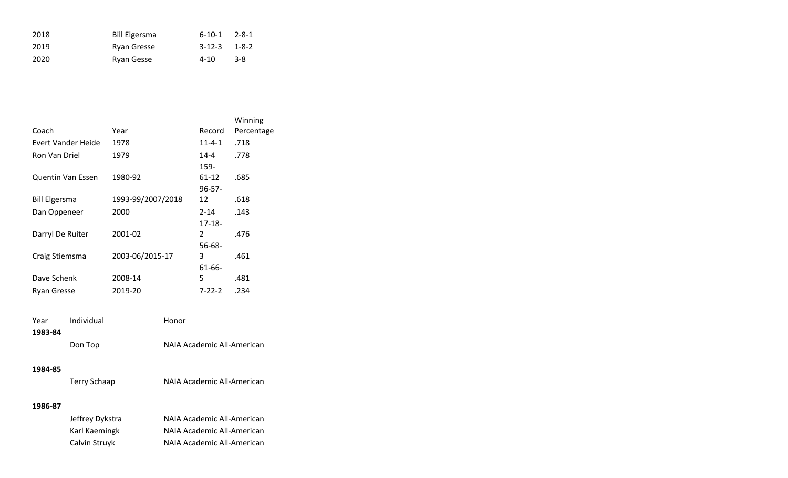| 2018  | <b>Bill Elgersma</b> | $6-10-1$ $2-8-1$ |     |
|-------|----------------------|------------------|-----|
| 2019  | Ryan Gresse          | $3-12-3$ $1-8-2$ |     |
| -2020 | Ryan Gesse           | $4 - 10$         | 3-8 |

|                          |                   |              | Winning    |
|--------------------------|-------------------|--------------|------------|
| Coach                    | Year              | Record       | Percentage |
| Evert Vander Heide       | 1978              | $11 - 4 - 1$ | .718       |
| Ron Van Driel            | 1979              | $14 - 4$     | .778       |
|                          |                   | 159-         |            |
| <b>Quentin Van Essen</b> | 1980-92           | 61-12        | .685       |
|                          |                   | $96 - 57 -$  |            |
| <b>Bill Elgersma</b>     | 1993-99/2007/2018 | 12           | .618       |
| Dan Oppeneer             | 2000              | $2 - 14$     | .143       |
|                          |                   | $17 - 18 -$  |            |
| Darryl De Ruiter         | 2001-02           | 2            | .476       |
|                          |                   | $56 - 68 -$  |            |
| Craig Stiemsma           | 2003-06/2015-17   | 3            | .461       |
|                          |                   | $61 - 66 -$  |            |
| Dave Schenk              | 2008-14           | 5            | .481       |
| <b>Ryan Gresse</b>       | 2019-20           | $7 - 22 - 2$ | .234       |

| Year    | Individual | Honor                      |
|---------|------------|----------------------------|
| 1983-84 |            |                            |
|         | Don Top    | NAIA Academic All-American |

| Terry Schaap | NAIA Academic All-American |
|--------------|----------------------------|
|--------------|----------------------------|

| Jeffrey Dykstra | NAIA Academic All-American |
|-----------------|----------------------------|
| Karl Kaemingk   | NAIA Academic All-American |
| Calvin Struyk   | NAIA Academic All-American |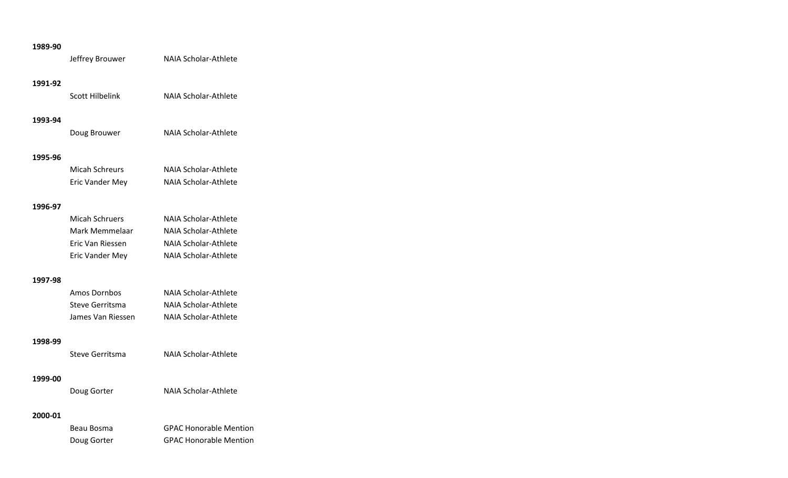Jeffrey Brouwer NAIA Scholar-Athlete

### **1991-92**

Scott Hilbelink NAIA Scholar-Athlete

## **1993-94**

Doug Brouwer NAIA Scholar-Athlete

#### **1995-96**

| Micah Schreurs  | NAIA Scholar-Athlete        |
|-----------------|-----------------------------|
| Eric Vander Mey | <b>NAIA Scholar-Athlete</b> |

### **1996-97**

| <b>Micah Schruers</b> | NAIA Scholar-Athlete |
|-----------------------|----------------------|
| Mark Memmelaar        | NAIA Scholar-Athlete |
| Eric Van Riessen      | NAIA Scholar-Athlete |
| Eric Vander Mey       | NAIA Scholar-Athlete |

#### **1997-98**

| Amos Dornbos      | NAIA Scholar-Athlete |
|-------------------|----------------------|
| Steve Gerritsma   | NAIA Scholar-Athlete |
| James Van Riessen | NAIA Scholar-Athlete |

# **1998-99**

|  | Steve Gerritsma | NAIA Scholar-Athlete |
|--|-----------------|----------------------|
|--|-----------------|----------------------|

#### **1999-00**

Doug Gorter **NAIA Scholar-Athlete** 

| Beau Bosma  | <b>GPAC Honorable Mention</b> |
|-------------|-------------------------------|
| Doug Gorter | <b>GPAC Honorable Mention</b> |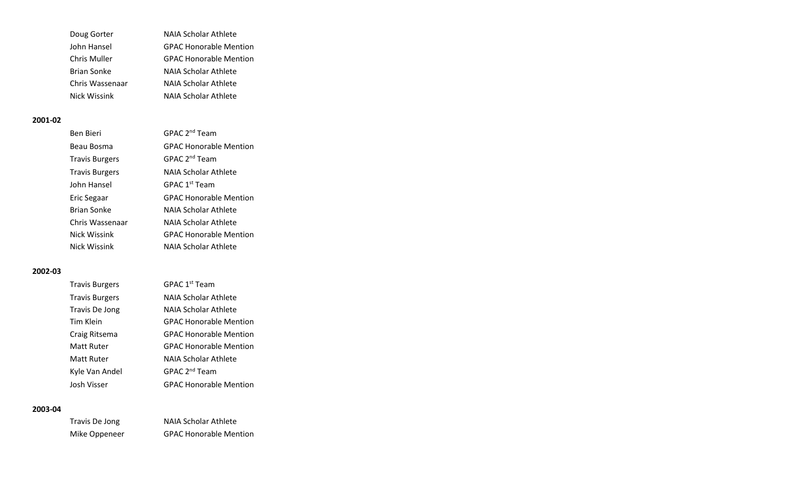| <b>NAIA Scholar Athlete</b>   |
|-------------------------------|
| <b>GPAC Honorable Mention</b> |
| <b>GPAC Honorable Mention</b> |
| NAIA Scholar Athlete          |
| NAIA Scholar Athlete          |
| NAIA Scholar Athlete          |
|                               |

| Ben Bieri             | GPAC 2 <sup>nd</sup> Team     |
|-----------------------|-------------------------------|
| Beau Bosma            | <b>GPAC Honorable Mention</b> |
| <b>Travis Burgers</b> | GPAC 2 <sup>nd</sup> Team     |
| <b>Travis Burgers</b> | NAIA Scholar Athlete          |
| John Hansel           | GPAC 1 <sup>st</sup> Team     |
| Eric Segaar           | <b>GPAC Honorable Mention</b> |
| Brian Sonke           | NAIA Scholar Athlete          |
| Chris Wassenaar       | NAIA Scholar Athlete          |
| Nick Wissink          | <b>GPAC Honorable Mention</b> |
| Nick Wissink          | NAIA Scholar Athlete          |

# **2002-03**

| <b>Travis Burgers</b> | GPAC 1 <sup>st</sup> Team     |
|-----------------------|-------------------------------|
| <b>Travis Burgers</b> | NAIA Scholar Athlete          |
| Travis De Jong        | NAIA Scholar Athlete          |
| Tim Klein             | <b>GPAC Honorable Mention</b> |
| Craig Ritsema         | <b>GPAC Honorable Mention</b> |
| Matt Ruter            | <b>GPAC Honorable Mention</b> |
| Matt Ruter            | NAIA Scholar Athlete          |
| Kyle Van Andel        | GPAC 2 <sup>nd</sup> Team     |
| Josh Visser           | <b>GPAC Honorable Mention</b> |

| Travis De Jong | NAIA Scholar Athlete          |
|----------------|-------------------------------|
| Mike Oppeneer  | <b>GPAC Honorable Mention</b> |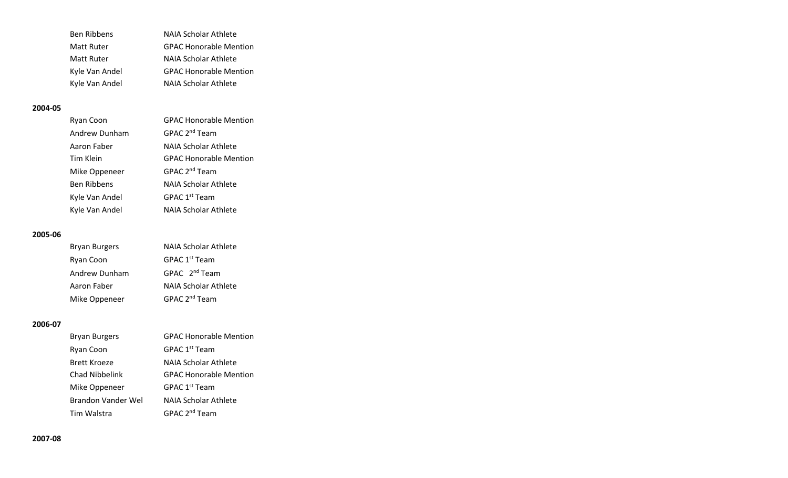| <b>Ben Ribbens</b> | NAIA Scholar Athlete          |
|--------------------|-------------------------------|
| Matt Ruter         | <b>GPAC Honorable Mention</b> |
| Matt Ruter         | NAIA Scholar Athlete          |
| Kyle Van Andel     | <b>GPAC Honorable Mention</b> |
| Kyle Van Andel     | NAIA Scholar Athlete          |

| Ryan Coon          | <b>GPAC Honorable Mention</b> |
|--------------------|-------------------------------|
| Andrew Dunham      | GPAC 2 <sup>nd</sup> Team     |
| Aaron Faber        | <b>NAIA Scholar Athlete</b>   |
| Tim Klein          | <b>GPAC Honorable Mention</b> |
| Mike Oppeneer      | GPAC 2 <sup>nd</sup> Team     |
| <b>Ben Ribbens</b> | NAIA Scholar Athlete          |
| Kyle Van Andel     | GPAC 1 <sup>st</sup> Team     |
| Kyle Van Andel     | NAIA Scholar Athlete          |

#### **2005-06**

| <b>Bryan Burgers</b> | NAIA Scholar Athlete      |
|----------------------|---------------------------|
| Ryan Coon            | GPAC 1 <sup>st</sup> Team |
| Andrew Dunham        | GPAC 2 <sup>nd</sup> Team |
| Aaron Faber          | NAIA Scholar Athlete      |
| Mike Oppeneer        | GPAC 2 <sup>nd</sup> Team |

| <b>Bryan Burgers</b>  | <b>GPAC Honorable Mention</b> |
|-----------------------|-------------------------------|
| Ryan Coon             | GPAC 1 <sup>st</sup> Team     |
| Brett Kroeze          | NAIA Scholar Athlete          |
| <b>Chad Nibbelink</b> | <b>GPAC Honorable Mention</b> |
| Mike Oppeneer         | GPAC 1 <sup>st</sup> Team     |
| Brandon Vander Wel    | NAIA Scholar Athlete          |
| Tim Walstra           | GPAC 2 <sup>nd</sup> Team     |
|                       |                               |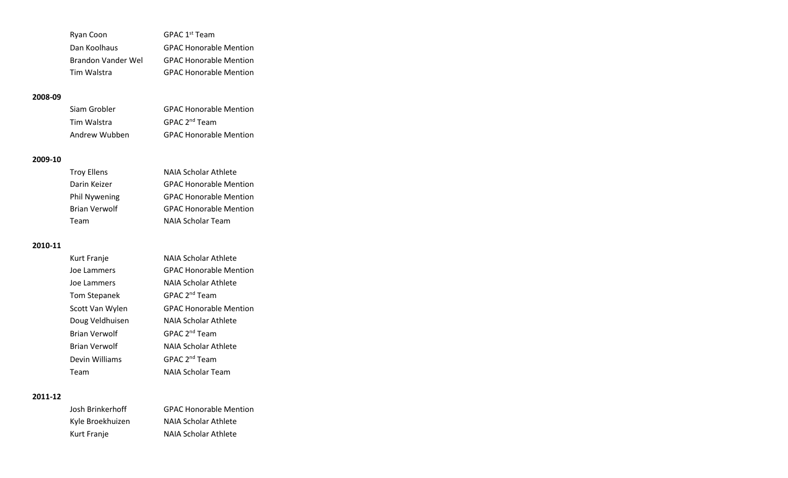| Ryan Coon          | GPAC 1 <sup>st</sup> Team     |
|--------------------|-------------------------------|
| Dan Koolhaus       | <b>GPAC Honorable Mention</b> |
| Brandon Vander Wel | <b>GPAC Honorable Mention</b> |
| Tim Walstra        | <b>GPAC Honorable Mention</b> |

| Siam Grobler  | <b>GPAC Honorable Mention</b> |
|---------------|-------------------------------|
| Tim Walstra   | GPAC 2 <sup>nd</sup> Team     |
| Andrew Wubben | <b>GPAC Honorable Mention</b> |

#### **2009-10**

| <b>Troy Ellens</b>   | <b>NAIA Scholar Athlete</b>   |
|----------------------|-------------------------------|
| Darin Keizer         | <b>GPAC Honorable Mention</b> |
| <b>Phil Nywening</b> | <b>GPAC Honorable Mention</b> |
| <b>Brian Verwolf</b> | <b>GPAC Honorable Mention</b> |
| Team                 | NAIA Scholar Team             |

## **2010-11**

| Kurt Franje          | NAIA Scholar Athlete          |
|----------------------|-------------------------------|
| Joe Lammers          | <b>GPAC Honorable Mention</b> |
| Joe Lammers          | NAIA Scholar Athlete          |
| <b>Tom Stepanek</b>  | GPAC 2 <sup>nd</sup> Team     |
| Scott Van Wylen      | <b>GPAC Honorable Mention</b> |
| Doug Veldhuisen      | NAIA Scholar Athlete          |
| <b>Brian Verwolf</b> | GPAC 2 <sup>nd</sup> Team     |
| <b>Brian Verwolf</b> | NAIA Scholar Athlete          |
| Devin Williams       | GPAC 2 <sup>nd</sup> Team     |
| Team                 | NAIA Scholar Team             |

| Josh Brinkerhoff | <b>GPAC Honorable Mention</b> |
|------------------|-------------------------------|
| Kyle Broekhuizen | NAIA Scholar Athlete          |
| Kurt Franje      | NAIA Scholar Athlete          |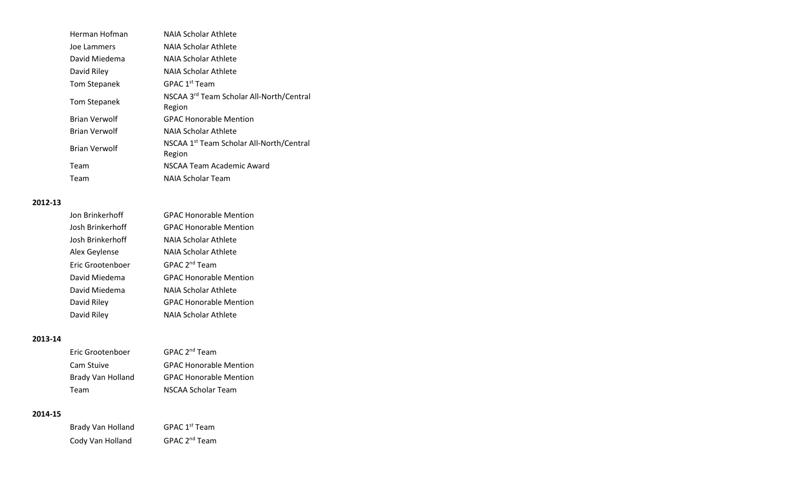| Herman Hofman        | NAIA Scholar Athlete                                           |
|----------------------|----------------------------------------------------------------|
| Joe Lammers          | NAIA Scholar Athlete                                           |
| David Miedema        | NAIA Scholar Athlete                                           |
| David Riley          | NAIA Scholar Athlete                                           |
| <b>Tom Stepanek</b>  | GPAC 1 <sup>st</sup> Team                                      |
| Tom Stepanek         | NSCAA 3 <sup>rd</sup> Team Scholar All-North/Central<br>Region |
| <b>Brian Verwolf</b> | <b>GPAC Honorable Mention</b>                                  |
| <b>Brian Verwolf</b> | NAIA Scholar Athlete                                           |
| <b>Brian Verwolf</b> | NSCAA 1 <sup>st</sup> Team Scholar All-North/Central<br>Region |
| Team                 | NSCAA Team Academic Award                                      |
| Team                 | NAIA Scholar Team                                              |

| Jon Brinkerhoff  | <b>GPAC Honorable Mention</b> |
|------------------|-------------------------------|
| Josh Brinkerhoff | <b>GPAC Honorable Mention</b> |
| Josh Brinkerhoff | NAIA Scholar Athlete          |
| Alex Geylense    | NAIA Scholar Athlete          |
| Eric Grootenboer | GPAC 2 <sup>nd</sup> Team     |
| David Miedema    | <b>GPAC Honorable Mention</b> |
| David Miedema    | NAIA Scholar Athlete          |
| David Riley      | <b>GPAC Honorable Mention</b> |
| David Riley      | <b>NAIA Scholar Athlete</b>   |

# **2013-14**

| Eric Grootenboer  | GPAC 2 <sup>nd</sup> Team     |
|-------------------|-------------------------------|
| Cam Stuive        | <b>GPAC Honorable Mention</b> |
| Brady Van Holland | <b>GPAC Honorable Mention</b> |
| Team              | NSCAA Scholar Team            |

| Brady Van Holland | GPAC 1 <sup>st</sup> Team |
|-------------------|---------------------------|
| Cody Van Holland  | GPAC 2 <sup>nd</sup> Team |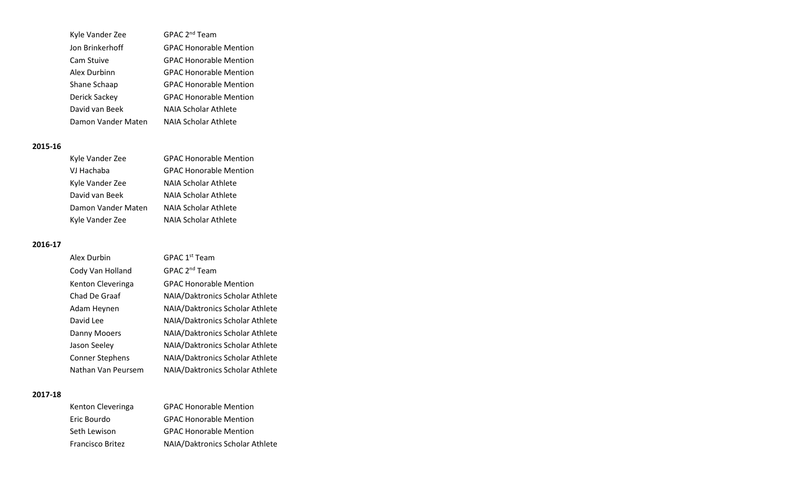| Kyle Vander Zee    | GPAC 2 <sup>nd</sup> Team     |
|--------------------|-------------------------------|
| Jon Brinkerhoff    | <b>GPAC Honorable Mention</b> |
| Cam Stuive         | <b>GPAC Honorable Mention</b> |
| Alex Durbinn       | <b>GPAC Honorable Mention</b> |
| Shane Schaap       | <b>GPAC Honorable Mention</b> |
| Derick Sackey      | <b>GPAC Honorable Mention</b> |
| David van Beek     | <b>NAIA Scholar Athlete</b>   |
| Damon Vander Maten | <b>NAIA Scholar Athlete</b>   |

| Kyle Vander Zee    | <b>GPAC Honorable Mention</b> |
|--------------------|-------------------------------|
| VJ Hachaba         | <b>GPAC Honorable Mention</b> |
| Kyle Vander Zee    | NAIA Scholar Athlete          |
| David van Beek     | <b>NAIA Scholar Athlete</b>   |
| Damon Vander Maten | NAIA Scholar Athlete          |
| Kyle Vander Zee    | NAIA Scholar Athlete          |

## **2016-17**

| Alex Durbin            | GPAC 1 <sup>st</sup> Team       |
|------------------------|---------------------------------|
| Cody Van Holland       | GPAC 2 <sup>nd</sup> Team       |
| Kenton Cleveringa      | <b>GPAC Honorable Mention</b>   |
| Chad De Graaf          | NAIA/Daktronics Scholar Athlete |
| Adam Heynen            | NAIA/Daktronics Scholar Athlete |
| David Lee              | NAIA/Daktronics Scholar Athlete |
| Danny Mooers           | NAIA/Daktronics Scholar Athlete |
| Jason Seeley           | NAIA/Daktronics Scholar Athlete |
| <b>Conner Stephens</b> | NAIA/Daktronics Scholar Athlete |
| Nathan Van Peursem     | NAIA/Daktronics Scholar Athlete |

| Kenton Cleveringa | <b>GPAC Honorable Mention</b>   |
|-------------------|---------------------------------|
| Eric Bourdo       | <b>GPAC Honorable Mention</b>   |
| Seth Lewison      | <b>GPAC Honorable Mention</b>   |
| Francisco Britez  | NAIA/Daktronics Scholar Athlete |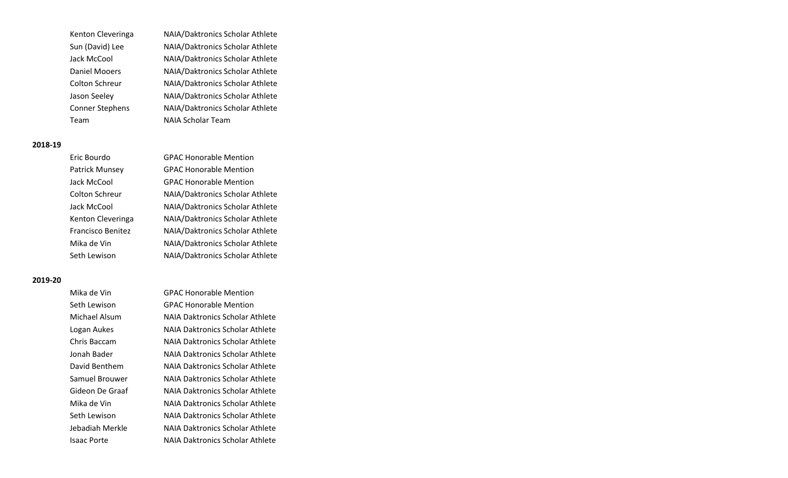Kenton Cleveringa NAIA/Daktronics Scholar Athlete Sun (David) Lee NAIA/Daktronics Scholar Athlete Jack McCool NAIA/Daktronics Scholar Athlete Daniel Mooers NAIA/Daktronics Scholar Athlete Colton Schreur NAIA/Daktronics Scholar Athlete Jason Seeley NAIA/Daktronics Scholar Athlete Conner Stephens NAIA/Daktronics Scholar Athlete Team NAIA Scholar Team

#### **2018-19**

| Eric Bourdo           | <b>GPAC Honorable Mention</b>   |
|-----------------------|---------------------------------|
| Patrick Munsey        | <b>GPAC Honorable Mention</b>   |
| Jack McCool           | <b>GPAC Honorable Mention</b>   |
| <b>Colton Schreur</b> | NAIA/Daktronics Scholar Athlete |
| Jack McCool           | NAIA/Daktronics Scholar Athlete |
| Kenton Cleveringa     | NAIA/Daktronics Scholar Athlete |
| Francisco Benitez     | NAIA/Daktronics Scholar Athlete |
| Mika de Vin           | NAIA/Daktronics Scholar Athlete |
| Seth Lewison          | NAIA/Daktronics Scholar Athlete |
|                       |                                 |

| Mika de Vin     | <b>GPAC Honorable Mention</b>          |
|-----------------|----------------------------------------|
| Seth Lewison    | <b>GPAC Honorable Mention</b>          |
| Michael Alsum   | <b>NAIA Daktronics Scholar Athlete</b> |
| Logan Aukes     | NAIA Daktronics Scholar Athlete        |
| Chris Baccam    | <b>NAIA Daktronics Scholar Athlete</b> |
| Jonah Bader     | NAIA Daktronics Scholar Athlete        |
| David Benthem   | NAIA Daktronics Scholar Athlete        |
| Samuel Brouwer  | NAIA Daktronics Scholar Athlete        |
| Gideon De Graaf | NAIA Daktronics Scholar Athlete        |
| Mika de Vin     | NAIA Daktronics Scholar Athlete        |
| Seth Lewison    | NAIA Daktronics Scholar Athlete        |
| Jebadiah Merkle | NAIA Daktronics Scholar Athlete        |
| Isaac Porte     | NAIA Daktronics Scholar Athlete        |
|                 |                                        |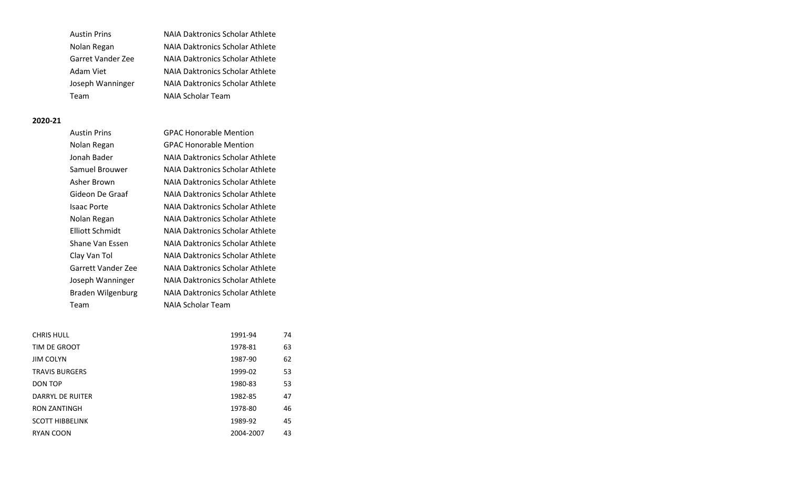| <b>Austin Prins</b> | <b>NAIA Daktronics Scholar Athlete</b> |
|---------------------|----------------------------------------|
| Nolan Regan         | <b>NAIA Daktronics Scholar Athlete</b> |
| Garret Vander Zee   | NAIA Daktronics Scholar Athlete        |
| Adam Viet           | <b>NAIA Daktronics Scholar Athlete</b> |
| Joseph Wanninger    | <b>NAIA Daktronics Scholar Athlete</b> |
| Team                | <b>NAIA Scholar Team</b>               |

| <b>Austin Prins</b> | <b>GPAC Honorable Mention</b>          |
|---------------------|----------------------------------------|
| Nolan Regan         | <b>GPAC Honorable Mention</b>          |
| Jonah Bader         | NAIA Daktronics Scholar Athlete        |
| Samuel Brouwer      | NAIA Daktronics Scholar Athlete        |
| Asher Brown         | <b>NAIA Daktronics Scholar Athlete</b> |
| Gideon De Graaf     | NAIA Daktronics Scholar Athlete        |
| Isaac Porte         | NAIA Daktronics Scholar Athlete        |
| Nolan Regan         | NAIA Daktronics Scholar Athlete        |
| Elliott Schmidt     | NAIA Daktronics Scholar Athlete        |
| Shane Van Essen     | NAIA Daktronics Scholar Athlete        |
| Clay Van Tol        | NAIA Daktronics Scholar Athlete        |
| Garrett Vander Zee  | NAIA Daktronics Scholar Athlete        |
| Joseph Wanninger    | <b>NAIA Daktronics Scholar Athlete</b> |
| Braden Wilgenburg   | NAIA Daktronics Scholar Athlete        |
| Team                | NAIA Scholar Team                      |

| <b>CHRIS HULL</b>      | 1991-94   | 74 |
|------------------------|-----------|----|
| TIM DE GROOT           | 1978-81   | 63 |
| <b>JIM COLYN</b>       | 1987-90   | 62 |
| <b>TRAVIS BURGERS</b>  | 1999-02   | 53 |
| DON TOP                | 1980-83   | 53 |
| DARRYL DE RUITER       | 1982-85   | 47 |
| <b>RON ZANTINGH</b>    | 1978-80   | 46 |
| <b>SCOTT HIBBELINK</b> | 1989-92   | 45 |
| RYAN COON              | 2004-2007 | 43 |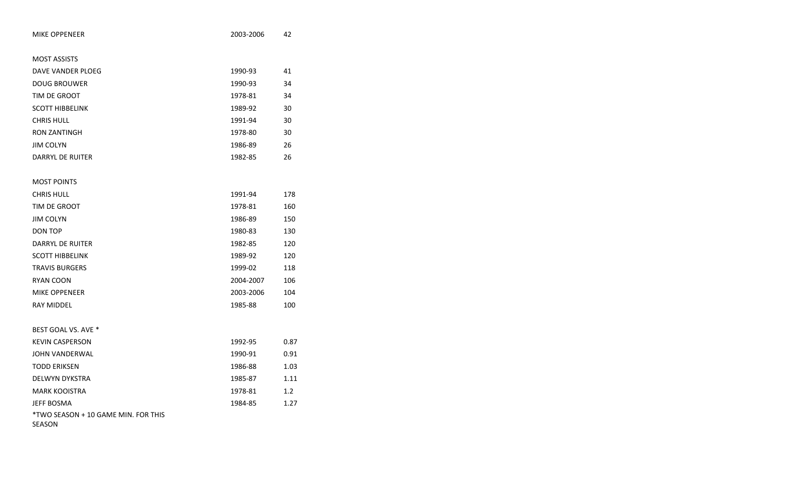| <b>MIKE OPPENEER</b>                                 | 2003-2006 | 42               |
|------------------------------------------------------|-----------|------------------|
|                                                      |           |                  |
| <b>MOST ASSISTS</b>                                  |           |                  |
| DAVE VANDER PLOEG                                    | 1990-93   | 41               |
| <b>DOUG BROUWER</b>                                  | 1990-93   | 34               |
| TIM DE GROOT                                         | 1978-81   | 34               |
| <b>SCOTT HIBBELINK</b>                               | 1989-92   | 30               |
| <b>CHRIS HULL</b>                                    | 1991-94   | 30               |
| <b>RON ZANTINGH</b>                                  | 1978-80   | 30               |
| <b>JIM COLYN</b>                                     | 1986-89   | 26               |
| <b>DARRYL DE RUITER</b>                              | 1982-85   | 26               |
|                                                      |           |                  |
| <b>MOST POINTS</b>                                   |           |                  |
| <b>CHRIS HULL</b>                                    | 1991-94   | 178              |
| TIM DE GROOT                                         | 1978-81   | 160              |
| <b>JIM COLYN</b>                                     | 1986-89   | 150              |
| <b>DON TOP</b>                                       | 1980-83   | 130              |
| <b>DARRYL DE RUITER</b>                              | 1982-85   | 120              |
| <b>SCOTT HIBBELINK</b>                               | 1989-92   | 120              |
| <b>TRAVIS BURGERS</b>                                | 1999-02   | 118              |
| RYAN COON                                            | 2004-2007 | 106              |
| <b>MIKE OPPENEER</b>                                 | 2003-2006 | 104              |
| <b>RAY MIDDEL</b>                                    | 1985-88   | 100              |
|                                                      |           |                  |
| BEST GOAL VS. AVE *                                  |           |                  |
| <b>KEVIN CASPERSON</b>                               | 1992-95   | 0.87             |
| JOHN VANDERWAL                                       | 1990-91   | 0.91             |
| <b>TODD ERIKSEN</b>                                  | 1986-88   | 1.03             |
| <b>DELWYN DYKSTRA</b>                                | 1985-87   | 1.11             |
| <b>MARK KOOISTRA</b>                                 | 1978-81   | 1.2 <sub>2</sub> |
| <b>JEFF BOSMA</b>                                    | 1984-85   | 1.27             |
| *TWO SEASON + 10 GAME MIN. FOR THIS<br><b>SEASON</b> |           |                  |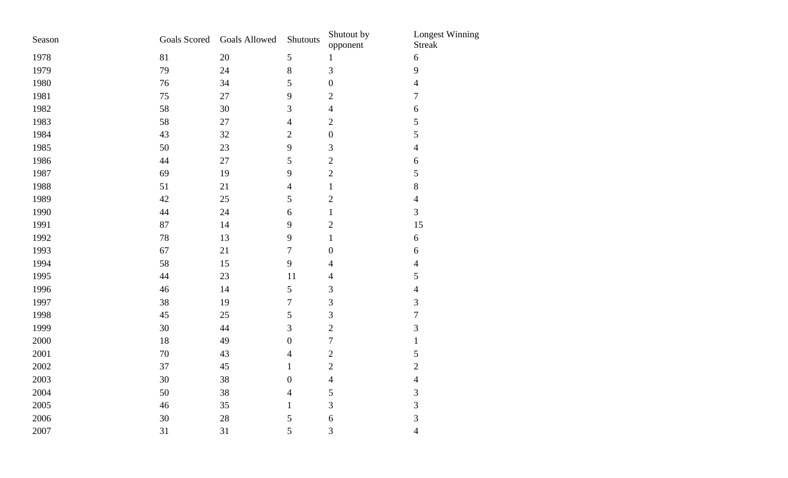| Season | <b>Goals Scored</b> | <b>Goals Allowed</b> | Shutouts         | Shutout by<br>opponent | <b>Longest Winning</b><br><b>Streak</b> |
|--------|---------------------|----------------------|------------------|------------------------|-----------------------------------------|
| 1978   | 81                  | 20                   | $\mathfrak{S}$   | $\mathbf{1}$           | $\sqrt{6}$                              |
| 1979   | 79                  | 24                   | $\,8\,$          | 3                      | 9                                       |
| 1980   | 76                  | 34                   | 5                | $\boldsymbol{0}$       | $\overline{4}$                          |
| 1981   | 75                  | $27\,$               | 9                | $\overline{c}$         | $\boldsymbol{7}$                        |
| 1982   | 58                  | 30                   | 3                | $\overline{4}$         | $\boldsymbol{6}$                        |
| 1983   | 58                  | 27                   | $\overline{4}$   | $\sqrt{2}$             | 5                                       |
| 1984   | 43                  | 32                   | $\sqrt{2}$       | $\boldsymbol{0}$       | 5                                       |
| 1985   | 50                  | 23                   | 9                | $\mathfrak{Z}$         | $\overline{4}$                          |
| 1986   | 44                  | 27                   | $\sqrt{5}$       | $\sqrt{2}$             | 6                                       |
| 1987   | 69                  | 19                   | 9                | $\sqrt{2}$             | 5                                       |
| 1988   | 51                  | 21                   | $\overline{4}$   | $\,1$                  | 8                                       |
| 1989   | 42                  | 25                   | 5                | $\sqrt{2}$             | $\overline{4}$                          |
| 1990   | 44                  | 24                   | $\boldsymbol{6}$ | $\,1$                  | 3                                       |
| 1991   | 87                  | 14                   | 9                | $\sqrt{2}$             | 15                                      |
| 1992   | 78                  | 13                   | 9                | $\,1$                  | $\sqrt{6}$                              |
| 1993   | 67                  | 21                   | $\overline{7}$   | $\boldsymbol{0}$       | 6                                       |
| 1994   | 58                  | 15                   | 9                | $\overline{4}$         | $\overline{4}$                          |
| 1995   | 44                  | 23                   | 11               | $\overline{4}$         | 5                                       |
| 1996   | 46                  | 14                   | $\mathfrak{S}$   | $\mathfrak{Z}$         | $\overline{4}$                          |
| 1997   | 38                  | 19                   | $\overline{7}$   | 3                      | 3                                       |
| 1998   | 45                  | 25                   | 5                | 3                      | $\boldsymbol{7}$                        |
| 1999   | 30                  | 44                   | 3                | $\overline{c}$         | 3                                       |
| 2000   | 18                  | 49                   | $\boldsymbol{0}$ | $\boldsymbol{7}$       | $\mathbf{1}$                            |
| 2001   | $70\,$              | 43                   | $\overline{4}$   | $\sqrt{2}$             | 5                                       |
| 2002   | 37                  | 45                   | $\mathbf{1}$     | $\sqrt{2}$             | $\overline{2}$                          |
| 2003   | 30                  | 38                   | $\boldsymbol{0}$ | $\overline{4}$         | $\overline{4}$                          |
| 2004   | 50                  | 38                   | $\overline{4}$   | $\sqrt{5}$             | 3                                       |
| 2005   | 46                  | 35                   | $\mathbf{1}$     | 3                      | 3                                       |
| 2006   | 30                  | 28                   | 5                | 6                      | 3                                       |
| 2007   | 31                  | 31                   | 5                | 3                      | $\overline{4}$                          |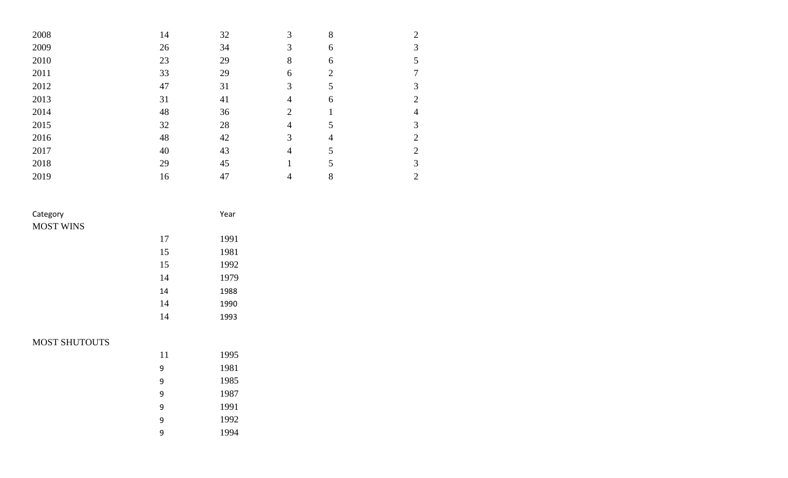| 2008 | 14 | 32 | 3 | 8              | 2              |
|------|----|----|---|----------------|----------------|
| 2009 | 26 | 34 | 3 | 6              | 3              |
| 2010 | 23 | 29 | 8 | 6              | 5              |
| 2011 | 33 | 29 | 6 | $\overline{2}$ |                |
| 2012 | 47 | 31 | 3 | 5              | 3              |
| 2013 | 31 | 41 | 4 | 6              | $\overline{2}$ |
| 2014 | 48 | 36 | 2 |                | 4              |
| 2015 | 32 | 28 | 4 | 5              | 3              |
| 2016 | 48 | 42 | 3 | 4              | $\overline{2}$ |
| 2017 | 40 | 43 | 4 | 5              | 2              |
| 2018 | 29 | 45 |   | 5              | 3              |
| 2019 | 16 | 47 | 4 | 8              | $\overline{2}$ |

| Category             |        | Year |  |
|----------------------|--------|------|--|
| <b>MOST WINS</b>     |        |      |  |
|                      | 17     | 1991 |  |
|                      | 15     | 1981 |  |
|                      | 15     | 1992 |  |
|                      | 14     | 1979 |  |
|                      | 14     | 1988 |  |
|                      | 14     | 1990 |  |
|                      | 14     | 1993 |  |
| <b>MOST SHUTOUTS</b> |        |      |  |
|                      | 11     | 1995 |  |
|                      | $\sim$ | 1001 |  |

| 11 | 1995 |
|----|------|
| 9  | 1981 |
| 9  | 1985 |
| 9  | 1987 |
| 9  | 1991 |
| q  | 1992 |
| q  | 1994 |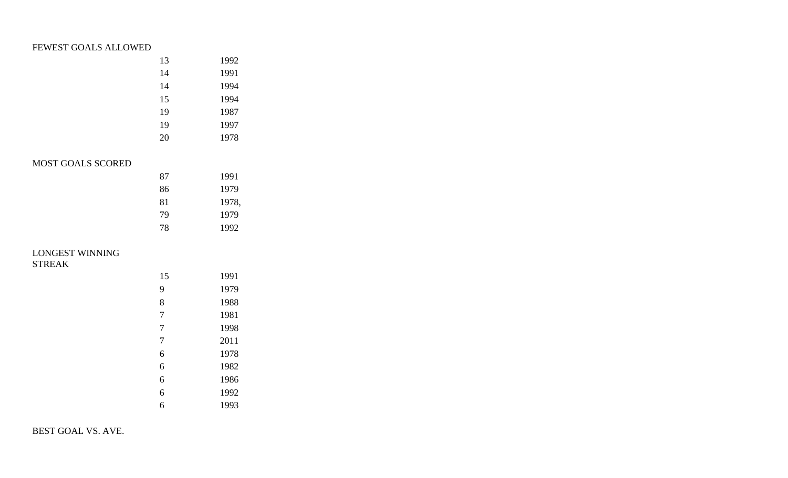# FEWEST GOALS ALLOWED

| 13 | 1992  |
|----|-------|
| 14 | 1991  |
| 14 | 1994  |
| 15 | 1994  |
| 19 | 1987  |
| 19 | 1997  |
| 20 | 1978  |
|    |       |
|    |       |
| 87 | 1991  |
| 86 | 1979  |
| 81 | 1978, |
| 79 | 1979  |
| 78 | 1992  |
|    |       |
|    |       |
|    |       |
| 15 | 1991  |
| 9  | 1979  |

LONGEST WINNING

MOST GOALS SCORED

STREAK

| 15 | 1991 |
|----|------|
| 9  | 1979 |
| 8  | 1988 |
| 7  | 1981 |
| 7  | 1998 |
| 7  | 2011 |
| 6  | 1978 |
| 6  | 1982 |
| 6  | 1986 |
| 6  | 1992 |
| 6  | 1993 |

BEST GOAL VS. AVE.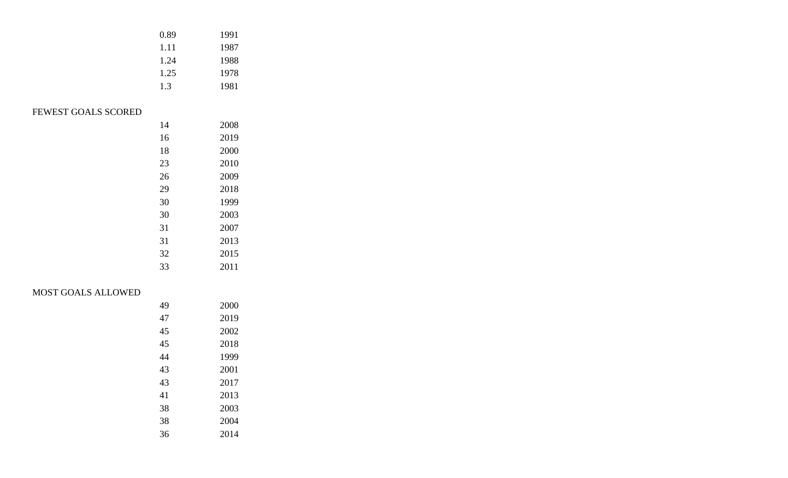|     | 0.89 | 1991 |
|-----|------|------|
|     | 1.11 | 1987 |
|     | 1.24 | 1988 |
|     | 1.25 | 1978 |
|     | 1.3  | 1981 |
|     |      |      |
| RED |      |      |
|     | 14   | 2008 |
|     |      |      |

# FEWEST GOALS SCOR

| 14 | 200  |
|----|------|
| 16 | 2019 |
| 18 | 2000 |
| 23 | 2010 |
| 26 | 2009 |
| 29 | 2018 |
| 30 | 1999 |
| 30 | 2003 |
| 31 | 2007 |
| 31 | 2013 |
| 32 | 2015 |
| 33 | 2011 |
|    |      |

# MOST GOALS ALLOWED

| 49 | 2000 |
|----|------|
| 47 | 2019 |
| 45 | 2002 |
| 45 | 2018 |
| 44 | 1999 |
| 43 | 2001 |
| 43 | 2017 |
| 41 | 2013 |
| 38 | 2003 |
| 38 | 2004 |
| 36 | 2014 |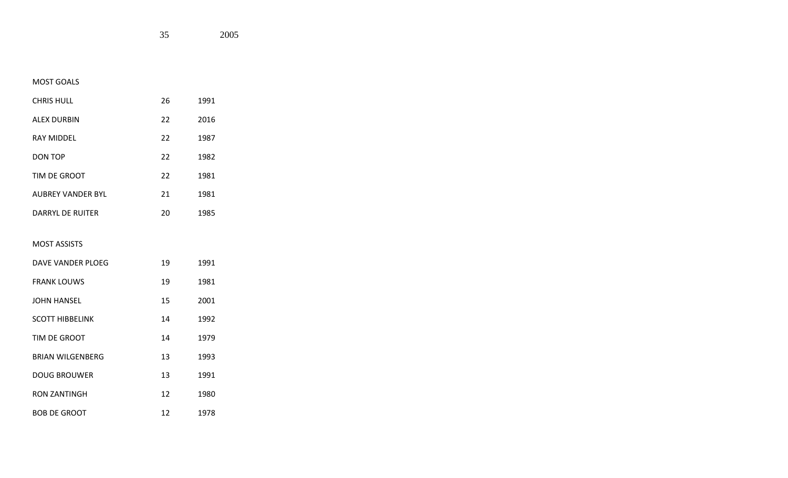## MOST GOALS

| <b>CHRIS HULL</b>  | 26 | 1991 |
|--------------------|----|------|
| <b>ALEX DURBIN</b> | 22 | 2016 |
| <b>RAY MIDDEL</b>  | 22 | 1987 |
| DON TOP            | 22 | 1982 |
| TIM DE GROOT       | 22 | 1981 |
| AUBREY VANDER BYL  | 21 | 1981 |
| DARRYL DE RUITER   | 20 | 1985 |

#### MOST ASSISTS

| DAVE VANDER PLOEG       | 19 | 1991 |
|-------------------------|----|------|
| <b>FRANK LOUWS</b>      | 19 | 1981 |
| JOHN HANSEL             | 15 | 2001 |
| <b>SCOTT HIBBELINK</b>  | 14 | 1992 |
| TIM DE GROOT            | 14 | 1979 |
| <b>BRIAN WILGENBERG</b> | 13 | 1993 |
| <b>DOUG BROUWER</b>     | 13 | 1991 |
| RON ZANTINGH            | 12 | 1980 |
| <b>BOB DE GROOT</b>     | 12 | 1978 |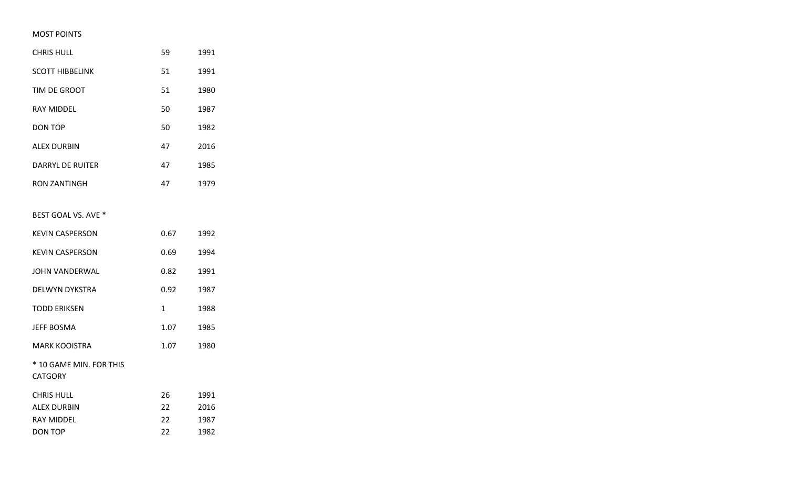### MOST POINTS

| <b>CHRIS HULL</b>                         | 59   | 1991 |
|-------------------------------------------|------|------|
| <b>SCOTT HIBBELINK</b>                    | 51   | 1991 |
| TIM DE GROOT                              | 51   | 1980 |
| <b>RAY MIDDEL</b>                         | 50   | 1987 |
| <b>DON TOP</b>                            | 50   | 1982 |
| <b>ALEX DURBIN</b>                        | 47   | 2016 |
| <b>DARRYL DE RUITER</b>                   | 47   | 1985 |
| <b>RON ZANTINGH</b>                       | 47   | 1979 |
|                                           |      |      |
| BEST GOAL VS. AVE *                       |      |      |
| <b>KEVIN CASPERSON</b>                    | 0.67 | 1992 |
| <b>KEVIN CASPERSON</b>                    | 0.69 | 1994 |
| JOHN VANDERWAL                            | 0.82 | 1991 |
| <b>DELWYN DYKSTRA</b>                     | 0.92 | 1987 |
| <b>TODD ERIKSEN</b>                       | 1    | 1988 |
| <b>JEFF BOSMA</b>                         | 1.07 | 1985 |
| <b>MARK KOOISTRA</b>                      | 1.07 | 1980 |
| * 10 GAME MIN. FOR THIS<br><b>CATGORY</b> |      |      |
| <b>CHRIS HULL</b>                         | 26   | 1991 |
| <b>ALEX DURBIN</b>                        | 22   | 2016 |
| <b>RAY MIDDEL</b>                         | 22   | 1987 |
| <b>DON TOP</b>                            | 22   | 1982 |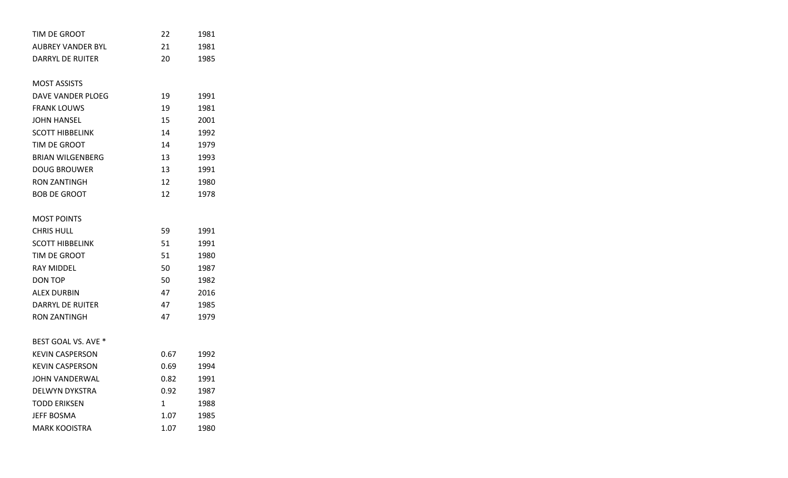| TIM DE GROOT            | 22   | 1981 |
|-------------------------|------|------|
| AUBREY VANDER BYL       | 21   | 1981 |
| DARRYL DE RUITER        | 20   | 1985 |
|                         |      |      |
| <b>MOST ASSISTS</b>     |      |      |
| DAVE VANDER PLOEG       | 19   | 1991 |
| <b>FRANK LOUWS</b>      | 19   | 1981 |
| JOHN HANSEL             | 15   | 2001 |
| <b>SCOTT HIBBELINK</b>  | 14   | 1992 |
| TIM DE GROOT            | 14   | 1979 |
| <b>BRIAN WILGENBERG</b> | 13   | 1993 |
| <b>DOUG BROUWER</b>     | 13   | 1991 |
| <b>RON ZANTINGH</b>     | 12   | 1980 |
| <b>BOB DE GROOT</b>     | 12   | 1978 |
|                         |      |      |
| <b>MOST POINTS</b>      |      |      |
| <b>CHRIS HULL</b>       | 59   | 1991 |
| <b>SCOTT HIBBELINK</b>  | 51   | 1991 |
| TIM DE GROOT            | 51   | 1980 |
| <b>RAY MIDDEL</b>       | 50   | 1987 |
| DON TOP                 | 50   | 1982 |
| ALEX DURBIN             | 47   | 2016 |
| DARRYL DE RUITER        | 47   | 1985 |
| <b>RON ZANTINGH</b>     | 47   | 1979 |
|                         |      |      |
| BEST GOAL VS. AVE *     |      |      |
| <b>KEVIN CASPERSON</b>  | 0.67 | 1992 |
| <b>KEVIN CASPERSON</b>  | 0.69 | 1994 |
| JOHN VANDERWAL          | 0.82 | 1991 |
| DELWYN DYKSTRA          | 0.92 | 1987 |
| <b>TODD ERIKSEN</b>     | 1    | 1988 |
| <b>JEFF BOSMA</b>       | 1.07 | 1985 |
| <b>MARK KOOISTRA</b>    | 1.07 | 1980 |